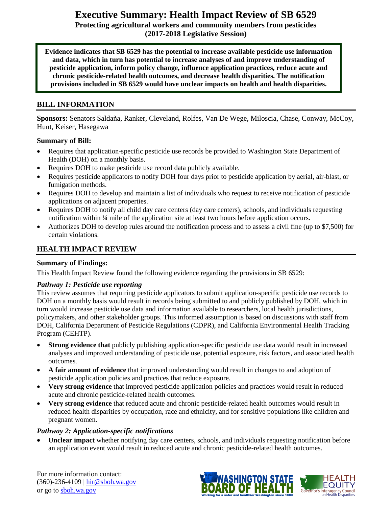# **Executive Summary: Health Impact Review of SB 6529**

**Protecting agricultural workers and community members from pesticides (2017-2018 Legislative Session)**

**Evidence indicates that SB 6529 has the potential to increase available pesticide use information and data, which in turn has potential to increase analyses of and improve understanding of pesticide application, inform policy change, influence application practices, reduce acute and chronic pesticide-related health outcomes, and decrease health disparities. The notification provisions included in SB 6529 would have unclear impacts on health and health disparities.**

#### **BILL INFORMATION**

**Sponsors:** Senators Saldaña, Ranker, Cleveland, Rolfes, Van De Wege, Miloscia, Chase, Conway, McCoy, Hunt, Keiser, Hasegawa

#### **Summary of Bill:**

- Requires that application-specific pesticide use records be provided to Washington State Department of Health (DOH) on a monthly basis.
- Requires DOH to make pesticide use record data publicly available.
- Requires pesticide applicators to notify DOH four days prior to pesticide application by aerial, air-blast, or fumigation methods.
- Requires DOH to develop and maintain a list of individuals who request to receive notification of pesticide applications on adjacent properties.
- Requires DOH to notify all child day care centers (day care centers), schools, and individuals requesting notification within ¼ mile of the application site at least two hours before application occurs.
- Authorizes DOH to develop rules around the notification process and to assess a civil fine (up to \$7,500) for certain violations.

#### **HEALTH IMPACT REVIEW**

#### **Summary of Findings:**

This Health Impact Review found the following evidence regarding the provisions in SB 6529:

#### *Pathway 1: Pesticide use reporting*

This review assumes that requiring pesticide applicators to submit application-specific pesticide use records to DOH on a monthly basis would result in records being submitted to and publicly published by DOH, which in turn would increase pesticide use data and information available to researchers, local health jurisdictions, policymakers, and other stakeholder groups. This informed assumption is based on discussions with staff from DOH, California Department of Pesticide Regulations (CDPR), and California Environmental Health Tracking Program (CEHTP).

- **Strong evidence that** publicly publishing application-specific pesticide use data would result in increased analyses and improved understanding of pesticide use, potential exposure, risk factors, and associated health outcomes.
- **A fair amount of evidence** that improved understanding would result in changes to and adoption of pesticide application policies and practices that reduce exposure.
- **Very strong evidence** that improved pesticide application policies and practices would result in reduced acute and chronic pesticide-related health outcomes.
- **Very strong evidence** that reduced acute and chronic pesticide-related health outcomes would result in reduced health disparities by occupation, race and ethnicity, and for sensitive populations like children and pregnant women.

#### *Pathway 2: Application-specific notifications*

 **Unclear impact** whether notifying day care centers, schools, and individuals requesting notification before an application event would result in reduced acute and chronic pesticide-related health outcomes.

For more information contact: (360)-236-4109 | [hir@sboh.wa.gov](mailto:hir@sboh.wa.gov) or go to [sboh.wa.gov](http://sboh.wa.gov/)

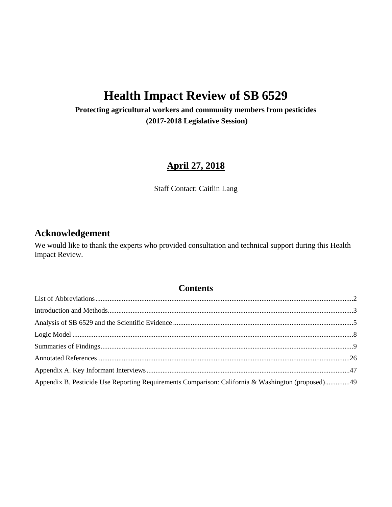# **Health Impact Review of SB 6529**

**Protecting agricultural workers and community members from pesticides (2017-2018 Legislative Session)**

## **April 27, 2018**

Staff Contact: Caitlin Lang

## **Acknowledgement**

We would like to thank the experts who provided consultation and technical support during this Health Impact Review.

## **Contents**

| Appendix B. Pesticide Use Reporting Requirements Comparison: California & Washington (proposed)49 |  |
|---------------------------------------------------------------------------------------------------|--|
|                                                                                                   |  |
|                                                                                                   |  |
|                                                                                                   |  |
|                                                                                                   |  |
|                                                                                                   |  |
|                                                                                                   |  |
|                                                                                                   |  |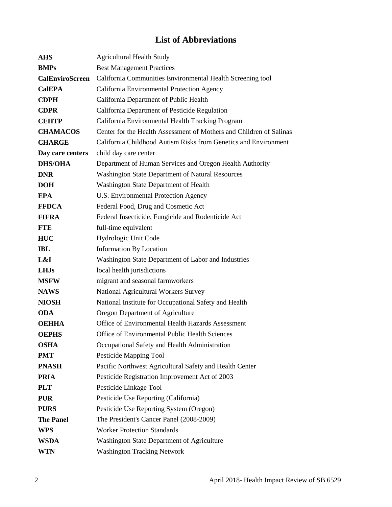## **List of Abbreviations**

<span id="page-2-0"></span>

| <b>AHS</b>             | <b>Agricultural Health Study</b>                                    |  |
|------------------------|---------------------------------------------------------------------|--|
| <b>BMPs</b>            | <b>Best Management Practices</b>                                    |  |
| <b>CalEnviroScreen</b> | California Communities Environmental Health Screening tool          |  |
| <b>CalEPA</b>          | California Environmental Protection Agency                          |  |
| <b>CDPH</b>            | California Department of Public Health                              |  |
| <b>CDPR</b>            | California Department of Pesticide Regulation                       |  |
| <b>CEHTP</b>           | California Environmental Health Tracking Program                    |  |
| <b>CHAMACOS</b>        | Center for the Health Assessment of Mothers and Children of Salinas |  |
| <b>CHARGE</b>          | California Childhood Autism Risks from Genetics and Environment     |  |
| Day care centers       | child day care center                                               |  |
| <b>DHS/OHA</b>         | Department of Human Services and Oregon Health Authority            |  |
| <b>DNR</b>             | <b>Washington State Department of Natural Resources</b>             |  |
| <b>DOH</b>             | Washington State Department of Health                               |  |
| <b>EPA</b>             | U.S. Environmental Protection Agency                                |  |
| <b>FFDCA</b>           | Federal Food, Drug and Cosmetic Act                                 |  |
| <b>FIFRA</b>           | Federal Insecticide, Fungicide and Rodenticide Act                  |  |
| <b>FTE</b>             | full-time equivalent                                                |  |
| <b>HUC</b>             | Hydrologic Unit Code                                                |  |
| <b>IBL</b>             | <b>Information By Location</b>                                      |  |
| L&I                    | Washington State Department of Labor and Industries                 |  |
| <b>LHJs</b>            | local health jurisdictions                                          |  |
| <b>MSFW</b>            | migrant and seasonal farmworkers                                    |  |
| <b>NAWS</b>            | National Agricultural Workers Survey                                |  |
| <b>NIOSH</b>           | National Institute for Occupational Safety and Health               |  |
| <b>ODA</b>             | Oregon Department of Agriculture                                    |  |
| <b>OEHHA</b>           | Office of Environmental Health Hazards Assessment                   |  |
| <b>OEPHS</b>           | Office of Environmental Public Health Sciences                      |  |
| <b>OSHA</b>            | Occupational Safety and Health Administration                       |  |
| <b>PMT</b>             | Pesticide Mapping Tool                                              |  |
| <b>PNASH</b>           | Pacific Northwest Agricultural Safety and Health Center             |  |
| <b>PRIA</b>            | Pesticide Registration Improvement Act of 2003                      |  |
| <b>PLT</b>             | Pesticide Linkage Tool                                              |  |
| <b>PUR</b>             | Pesticide Use Reporting (California)                                |  |
| <b>PURS</b>            | Pesticide Use Reporting System (Oregon)                             |  |
| <b>The Panel</b>       | The President's Cancer Panel (2008-2009)                            |  |
| <b>WPS</b>             | <b>Worker Protection Standards</b>                                  |  |
| <b>WSDA</b>            | Washington State Department of Agriculture                          |  |
| <b>WTN</b>             | <b>Washington Tracking Network</b>                                  |  |
|                        |                                                                     |  |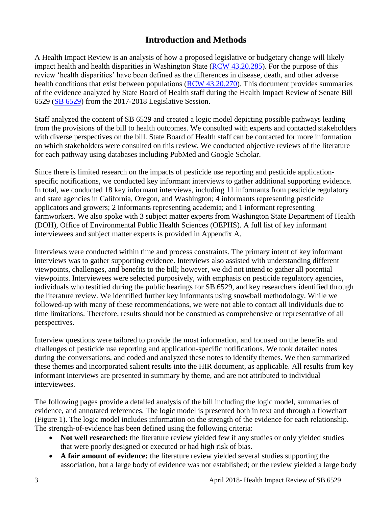## **Introduction and Methods**

A Health Impact Review is an analysis of how a proposed legislative or budgetary change will likely impact health and health disparities in Washington State [\(RCW 43.20.285\)](http://apps.leg.wa.gov/rcw/default.aspx?cite=43.20.285). For the purpose of this review 'health disparities' have been defined as the differences in disease, death, and other adverse health conditions that exist between populations [\(RCW 43.20.270\)](http://apps.leg.wa.gov/rcw/default.aspx?cite=43.20.270). This document provides summaries of the evidence analyzed by State Board of Health staff during the Health Impact Review of Senate Bill 6529 [\(SB 6529\)](http://lawfilesext.leg.wa.gov/biennium/2017-18/Pdf/Bills/Senate%20Bills/6529.pdf) from the 2017-2018 Legislative Session.

Staff analyzed the content of SB 6529 and created a logic model depicting possible pathways leading from the provisions of the bill to health outcomes. We consulted with experts and contacted stakeholders with diverse perspectives on the bill. State Board of Health staff can be contacted for more information on which stakeholders were consulted on this review. We conducted objective reviews of the literature for each pathway using databases including PubMed and Google Scholar.

Since there is limited research on the impacts of pesticide use reporting and pesticide applicationspecific notifications, we conducted key informant interviews to gather additional supporting evidence. In total, we conducted 18 key informant interviews, including 11 informants from pesticide regulatory and state agencies in California, Oregon, and Washington; 4 informants representing pesticide applicators and growers; 2 informants representing academia; and 1 informant representing farmworkers. We also spoke with 3 subject matter experts from Washington State Department of Health (DOH), Office of Environmental Public Health Sciences (OEPHS). A full list of key informant interviewees and subject matter experts is provided in Appendix A.

Interviews were conducted within time and process constraints. The primary intent of key informant interviews was to gather supporting evidence. Interviews also assisted with understanding different viewpoints, challenges, and benefits to the bill; however, we did not intend to gather all potential viewpoints. Interviewees were selected purposively, with emphasis on pesticide regulatory agencies, individuals who testified during the public hearings for SB 6529, and key researchers identified through the literature review. We identified further key informants using snowball methodology. While we followed-up with many of these recommendations, we were not able to contact all individuals due to time limitations. Therefore, results should not be construed as comprehensive or representative of all perspectives.

Interview questions were tailored to provide the most information, and focused on the benefits and challenges of pesticide use reporting and application-specific notifications. We took detailed notes during the conversations, and coded and analyzed these notes to identify themes. We then summarized these themes and incorporated salient results into the HIR document, as applicable. All results from key informant interviews are presented in summary by theme, and are not attributed to individual interviewees.

The following pages provide a detailed analysis of the bill including the logic model, summaries of evidence, and annotated references. The logic model is presented both in text and through a flowchart (Figure 1). The logic model includes information on the strength of the evidence for each relationship. The strength-of-evidence has been defined using the following criteria:

- Not well researched: the literature review yielded few if any studies or only yielded studies that were poorly designed or executed or had high risk of bias.
- **A fair amount of evidence:** the literature review yielded several studies supporting the association, but a large body of evidence was not established; or the review yielded a large body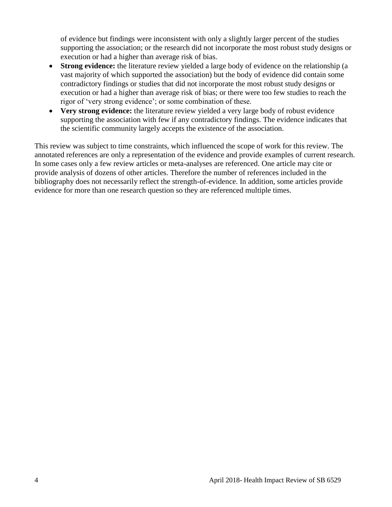of evidence but findings were inconsistent with only a slightly larger percent of the studies supporting the association; or the research did not incorporate the most robust study designs or execution or had a higher than average risk of bias.

- **Strong evidence:** the literature review yielded a large body of evidence on the relationship (a vast majority of which supported the association) but the body of evidence did contain some contradictory findings or studies that did not incorporate the most robust study designs or execution or had a higher than average risk of bias; or there were too few studies to reach the rigor of 'very strong evidence'; or some combination of these.
- **Very strong evidence:** the literature review yielded a very large body of robust evidence supporting the association with few if any contradictory findings. The evidence indicates that the scientific community largely accepts the existence of the association.

This review was subject to time constraints, which influenced the scope of work for this review. The annotated references are only a representation of the evidence and provide examples of current research. In some cases only a few review articles or meta-analyses are referenced. One article may cite or provide analysis of dozens of other articles. Therefore the number of references included in the bibliography does not necessarily reflect the strength-of-evidence. In addition, some articles provide evidence for more than one research question so they are referenced multiple times.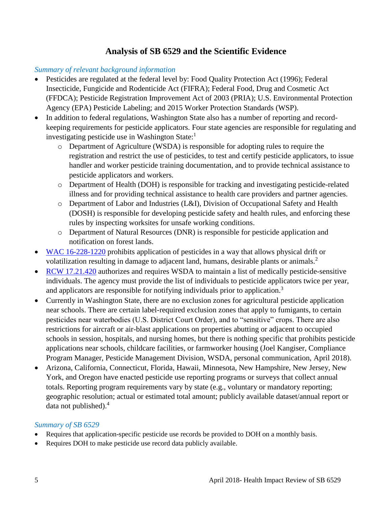## **Analysis of SB 6529 and the Scientific Evidence**

#### <span id="page-5-0"></span>*Summary of relevant background information*

- Pesticides are regulated at the federal level by: Food Quality Protection Act (1996); Federal Insecticide, Fungicide and Rodenticide Act (FIFRA); Federal Food, Drug and Cosmetic Act (FFDCA); Pesticide Registration Improvement Act of 2003 (PRIA); U.S. Environmental Protection Agency (EPA) Pesticide Labeling; and 2015 Worker Protection Standards (WSP).
- In addition to federal regulations, Washington State also has a number of reporting and recordkeeping requirements for pesticide applicators. Four state agencies are responsible for regulating and investigating pesticide use in Washington State: $<sup>1</sup>$ </sup>
	- o Department of Agriculture (WSDA) is responsible for adopting rules to require the registration and restrict the use of pesticides, to test and certify pesticide applicators, to issue handler and worker pesticide training documentation, and to provide technical assistance to pesticide applicators and workers.
	- o Department of Health (DOH) is responsible for tracking and investigating pesticide-related illness and for providing technical assistance to health care providers and partner agencies.
	- o Department of Labor and Industries (L&I), Division of Occupational Safety and Health (DOSH) is responsible for developing pesticide safety and health rules, and enforcing these rules by inspecting worksites for unsafe working conditions.
	- o Department of Natural Resources (DNR) is responsible for pesticide application and notification on forest lands.
- [WAC 16-228-1220](http://apps.leg.wa.gov/WAC/default.aspx?cite=16-228-1220) prohibits application of pesticides in a way that allows physical drift or volatilization resulting in damage to adjacent land, humans, desirable plants or animals.<sup>2</sup>
- [RCW 17.21.420](https://app.leg.wa.gov/rcw/default.aspx?cite=17.21.420) authorizes and requires WSDA to maintain a list of medically pesticide-sensitive individuals. The agency must provide the list of individuals to pesticide applicators twice per year, and applicators are responsible for notifying individuals prior to application.<sup>3</sup>
- Currently in Washington State, there are no exclusion zones for agricultural pesticide application near schools. There are certain label-required exclusion zones that apply to fumigants, to certain pesticides near waterbodies (U.S. District Court Order), and to "sensitive" crops. There are also restrictions for aircraft or air-blast applications on properties abutting or adjacent to occupied schools in session, hospitals, and nursing homes, but there is nothing specific that prohibits pesticide applications near schools, childcare facilities, or farmworker housing (Joel Kangiser, Compliance Program Manager, Pesticide Management Division, WSDA, personal communication, April 2018).
- Arizona, California, Connecticut, Florida, Hawaii, Minnesota, New Hampshire, New Jersey, New York, and Oregon have enacted pesticide use reporting programs or surveys that collect annual totals. Reporting program requirements vary by state (e.g., voluntary or mandatory reporting; geographic resolution; actual or estimated total amount; publicly available dataset/annual report or data not published).<sup>4</sup>

#### *Summary of SB 6529*

- Requires that application-specific pesticide use records be provided to DOH on a monthly basis.
- Requires DOH to make pesticide use record data publicly available.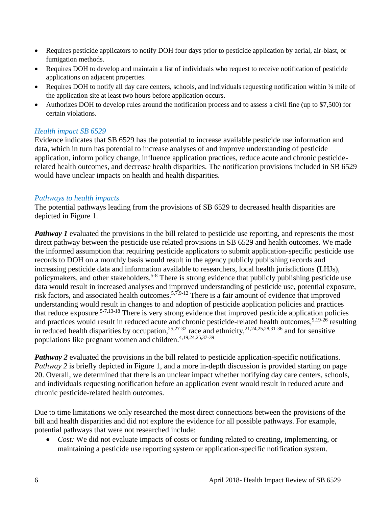- Requires pesticide applicators to notify DOH four days prior to pesticide application by aerial, air-blast, or fumigation methods.
- Requires DOH to develop and maintain a list of individuals who request to receive notification of pesticide applications on adjacent properties.
- Requires DOH to notify all day care centers, schools, and individuals requesting notification within 1/4 mile of the application site at least two hours before application occurs.
- Authorizes DOH to develop rules around the notification process and to assess a civil fine (up to \$7,500) for certain violations.

#### *Health impact SB 6529*

Evidence indicates that SB 6529 has the potential to increase available pesticide use information and data, which in turn has potential to increase analyses of and improve understanding of pesticide application, inform policy change, influence application practices, reduce acute and chronic pesticiderelated health outcomes, and decrease health disparities. The notification provisions included in SB 6529 would have unclear impacts on health and health disparities.

#### *Pathways to health impacts*

The potential pathways leading from the provisions of SB 6529 to decreased health disparities are depicted in Figure 1.

*Pathway 1* evaluated the provisions in the bill related to pesticide use reporting, and represents the most direct pathway between the pesticide use related provisions in SB 6529 and health outcomes. We made the informed assumption that requiring pesticide applicators to submit application-specific pesticide use records to DOH on a monthly basis would result in the agency publicly publishing records and increasing pesticide data and information available to researchers, local health jurisdictions (LHJs), policymakers, and other stakeholders.<sup>5-8</sup> There is strong evidence that publicly publishing pesticide use data would result in increased analyses and improved understanding of pesticide use, potential exposure, risk factors, and associated health outcomes.5,7,9-12 There is a fair amount of evidence that improved understanding would result in changes to and adoption of pesticide application policies and practices that reduce exposure.<sup>5-7,13-18</sup> There is very strong evidence that improved pesticide application policies and practices would result in reduced acute and chronic pesticide-related health outcomes,<sup>9,19-26</sup> resulting in reduced health disparities by occupation,  $25,27-32$  race and ethnicity,  $21,24,25,28,31-36$  and for sensitive populations like pregnant women and children.4,19,24,25,37-39

*Pathway 2* evaluated the provisions in the bill related to pesticide application-specific notifications. *Pathway 2* is briefly depicted in Figure 1, and a more in-depth discussion is provided starting on page 20. Overall, we determined that there is an unclear impact whether notifying day care centers, schools, and individuals requesting notification before an application event would result in reduced acute and chronic pesticide-related health outcomes.

Due to time limitations we only researched the most direct connections between the provisions of the bill and health disparities and did not explore the evidence for all possible pathways. For example, potential pathways that were not researched include:

*Cost:* We did not evaluate impacts of costs or funding related to creating, implementing, or maintaining a pesticide use reporting system or application-specific notification system.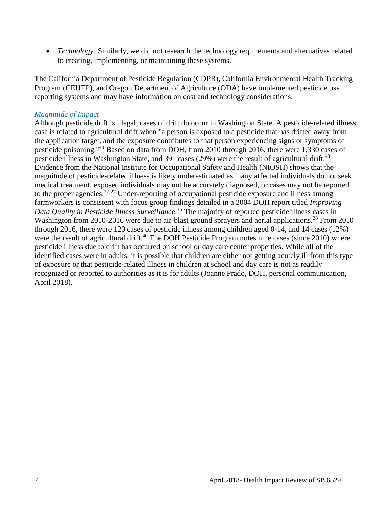• *Technology:* Similarly, we did not research the technology requirements and alternatives related to creating, implementing, or maintaining these systems.

The California Department of Pesticide Regulation (CDPR), California Environmental Health Tracking Program (CEHTP), and Oregon Department of Agriculture (ODA) have implemented pesticide use reporting systems and may have information on cost and technology considerations.

#### *Magnitude of Impact*

Although pesticide drift is illegal, cases of drift do occur in Washington State. A pesticide-related illness case is related to agricultural drift when "a person is exposed to a pesticide that has drifted away from the application target, and the exposure contributes to that person experiencing signs or symptoms of pesticide poisoning."<sup>40</sup> Based on data from DOH, from 2010 through 2016, there were 1,330 cases of pesticide illness in Washington State, and 391 cases (29%) were the result of agricultural drift.<sup>40</sup> Evidence from the National Institute for Occupational Safety and Health (NIOSH) shows that the magnitude of pesticide-related illness is likely underestimated as many affected individuals do not seek medical treatment, exposed individuals may not be accurately diagnosed, or cases may not be reported to the proper agencies.<sup>22,27</sup> Under-reporting of occupational pesticide exposure and illness among farmworkers is consistent with focus group findings detailed in a 2004 DOH report titled *Improving Data Quality in Pesticide Illness Surveillance*. <sup>35</sup> The majority of reported pesticide illness cases in Washington from 2010-2016 were due to air-blast ground sprayers and aerial applications.<sup>28</sup> From 2010 through 2016, there were 120 cases of pesticide illness among children aged 0-14, and 14 cases (12%) were the result of agricultural drift.<sup>40</sup> The DOH Pesticide Program notes nine cases (since 2010) where pesticide illness due to drift has occurred on school or day care center properties. While all of the identified cases were in adults, it is possible that children are either not getting acutely ill from this type of exposure or that pesticide-related illness in children at school and day care is not as readily recognized or reported to authorities as it is for adults (Joanne Prado, DOH, personal communication, April 2018).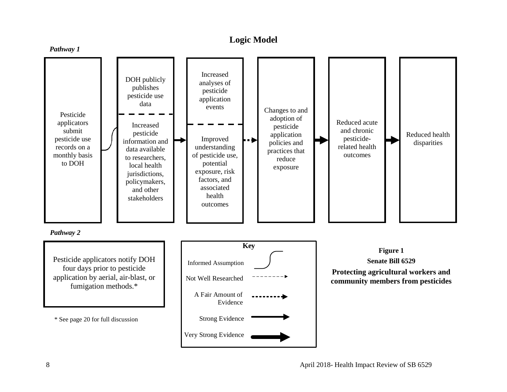## **Logic Model**

<span id="page-8-0"></span>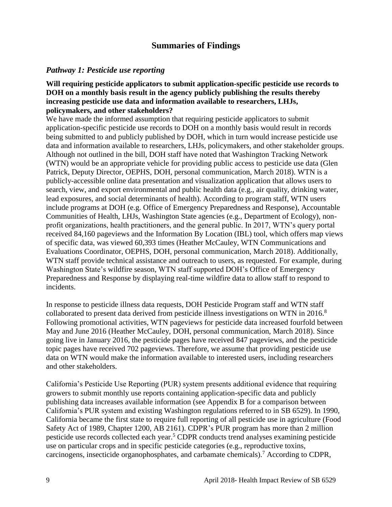## **Summaries of Findings**

#### <span id="page-9-0"></span>*Pathway 1: Pesticide use reporting*

#### **Will requiring pesticide applicators to submit application-specific pesticide use records to DOH on a monthly basis result in the agency publicly publishing the results thereby increasing pesticide use data and information available to researchers, LHJs, policymakers, and other stakeholders?**

We have made the informed assumption that requiring pesticide applicators to submit application-specific pesticide use records to DOH on a monthly basis would result in records being submitted to and publicly published by DOH, which in turn would increase pesticide use data and information available to researchers, LHJs, policymakers, and other stakeholder groups. Although not outlined in the bill, DOH staff have noted that Washington Tracking Network (WTN) would be an appropriate vehicle for providing public access to pesticide use data (Glen Patrick, Deputy Director, OEPHS, DOH, personal communication, March 2018). WTN is a publicly-accessible online data presentation and visualization application that allows users to search, view, and export environmental and public health data (e.g., air quality, drinking water, lead exposures, and social determinants of health). According to program staff, WTN users include programs at DOH (e.g. Office of Emergency Preparedness and Response), Accountable Communities of Health, LHJs, Washington State agencies (e.g., Department of Ecology), nonprofit organizations, health practitioners, and the general public. In 2017, WTN's query portal received 84,160 pageviews and the Information By Location (IBL) tool, which offers map views of specific data, was viewed 60,393 times (Heather McCauley, WTN Communications and Evaluations Coordinator, OEPHS, DOH, personal communication, March 2018). Additionally, WTN staff provide technical assistance and outreach to users, as requested. For example, during Washington State's wildfire season, WTN staff supported DOH's Office of Emergency Preparedness and Response by displaying real-time wildfire data to allow staff to respond to incidents.

In response to pesticide illness data requests, DOH Pesticide Program staff and WTN staff collaborated to present data derived from pesticide illness investigations on WTN in 2016. 8 Following promotional activities, WTN pageviews for pesticide data increased fourfold between May and June 2016 (Heather McCauley, DOH, personal communication, March 2018). Since going live in January 2016, the pesticide pages have received 847 pageviews, and the pesticide topic pages have received 702 pageviews. Therefore, we assume that providing pesticide use data on WTN would make the information available to interested users, including researchers and other stakeholders.

California's Pesticide Use Reporting (PUR) system presents additional evidence that requiring growers to submit monthly use reports containing application-specific data and publicly publishing data increases available information (see Appendix B for a comparison between California's PUR system and existing Washington regulations referred to in SB 6529). In 1990, California became the first state to require full reporting of all pesticide use in agriculture (Food Safety Act of 1989, Chapter 1200, AB 2161). CDPR's PUR program has more than 2 million pesticide use records collected each year. <sup>5</sup> CDPR conducts trend analyses examining pesticide use on particular crops and in specific pesticide categories (e.g., reproductive toxins, carcinogens, insecticide organophosphates, and carbamate chemicals).<sup>7</sup> According to CDPR,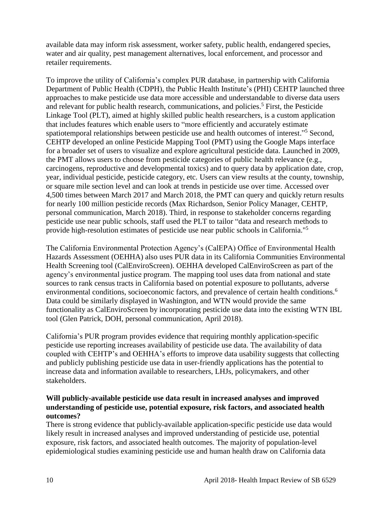available data may inform risk assessment, worker safety, public health, endangered species, water and air quality, pest management alternatives, local enforcement, and processor and retailer requirements.

To improve the utility of California's complex PUR database, in partnership with California Department of Public Health (CDPH), the Public Health Institute's (PHI) CEHTP launched three approaches to make pesticide use data more accessible and understandable to diverse data users and relevant for public health research, communications, and policies. <sup>5</sup> First, the Pesticide Linkage Tool (PLT), aimed at highly skilled public health researchers, is a custom application that includes features which enable users to "more efficiently and accurately estimate spatiotemporal relationships between pesticide use and health outcomes of interest."<sup>5</sup> Second, CEHTP developed an online Pesticide Mapping Tool (PMT) using the Google Maps interface for a broader set of users to visualize and explore agricultural pesticide data. Launched in 2009, the PMT allows users to choose from pesticide categories of public health relevance (e.g., carcinogens, reproductive and developmental toxics) and to query data by application date, crop, year, individual pesticide, pesticide category, etc. Users can view results at the county, township, or square mile section level and can look at trends in pesticide use over time. Accessed over 4,500 times between March 2017 and March 2018, the PMT can query and quickly return results for nearly 100 million pesticide records (Max Richardson, Senior Policy Manager, CEHTP, personal communication, March 2018). Third, in response to stakeholder concerns regarding pesticide use near public schools, staff used the PLT to tailor "data and research methods to provide high-resolution estimates of pesticide use near public schools in California."<sup>5</sup>

The California Environmental Protection Agency's (CalEPA) Office of Environmental Health Hazards Assessment (OEHHA) also uses PUR data in its California Communities Environmental Health Screening tool (CalEnviroScreen). OEHHA developed CalEnviroScreen as part of the agency's environmental justice program. The mapping tool uses data from national and state sources to rank census tracts in California based on potential exposure to pollutants, adverse environmental conditions, socioeconomic factors, and prevalence of certain health conditions.<sup>6</sup> Data could be similarly displayed in Washington, and WTN would provide the same functionality as CalEnviroScreen by incorporating pesticide use data into the existing WTN IBL tool (Glen Patrick, DOH, personal communication, April 2018).

California's PUR program provides evidence that requiring monthly application-specific pesticide use reporting increases availability of pesticide use data. The availability of data coupled with CEHTP's and OEHHA's efforts to improve data usability suggests that collecting and publicly publishing pesticide use data in user-friendly applications has the potential to increase data and information available to researchers, LHJs, policymakers, and other stakeholders.

#### **Will publicly-available pesticide use data result in increased analyses and improved understanding of pesticide use, potential exposure, risk factors, and associated health outcomes?**

There is strong evidence that publicly-available application-specific pesticide use data would likely result in increased analyses and improved understanding of pesticide use, potential exposure, risk factors, and associated health outcomes. The majority of population-level epidemiological studies examining pesticide use and human health draw on California data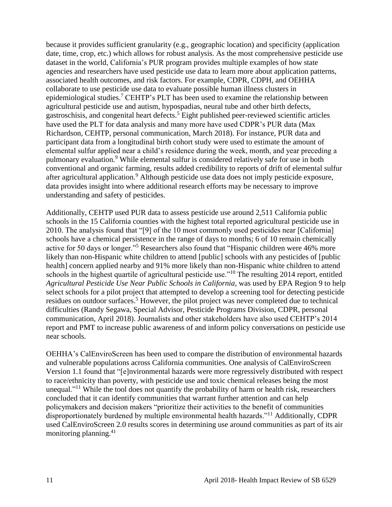because it provides sufficient granularity (e.g., geographic location) and specificity (application date, time, crop, etc.) which allows for robust analysis. As the most comprehensive pesticide use dataset in the world, California's PUR program provides multiple examples of how state agencies and researchers have used pesticide use data to learn more about application patterns, associated health outcomes, and risk factors. For example, CDPR, CDPH, and OEHHA collaborate to use pesticide use data to evaluate possible human illness clusters in epidemiological studies.<sup>7</sup> CEHTP's PLT has been used to examine the relationship between agricultural pesticide use and autism, hypospadias, neural tube and other birth defects, gastroschisis, and congenital heart defects.<sup>5</sup> Eight published peer-reviewed scientific articles have used the PLT for data analysis and many more have used CDPR's PUR data (Max Richardson, CEHTP, personal communication, March 2018). For instance, PUR data and participant data from a longitudinal birth cohort study were used to estimate the amount of elemental sulfur applied near a child's residence during the week, month, and year preceding a pulmonary evaluation.<sup>9</sup> While elemental sulfur is considered relatively safe for use in both conventional and organic farming, results added credibility to reports of drift of elemental sulfur after agricultural application.<sup>9</sup> Although pesticide use data does not imply pesticide exposure, data provides insight into where additional research efforts may be necessary to improve understanding and safety of pesticides.

Additionally, CEHTP used PUR data to assess pesticide use around 2,511 California public schools in the 15 California counties with the highest total reported agricultural pesticide use in 2010. The analysis found that "[9] of the 10 most commonly used pesticides near [California] schools have a chemical persistence in the range of days to months; 6 of 10 remain chemically active for 50 days or longer."<sup>5</sup> Researchers also found that "Hispanic children were 46% more likely than non-Hispanic white children to attend [public] schools with any pesticides of [public health] concern applied nearby and 91% more likely than non-Hispanic white children to attend schools in the highest quartile of agricultural pesticide use."<sup>10</sup> The resulting 2014 report, entitled *Agricultural Pesticide Use Near Public Schools in California*, was used by EPA Region 9 to help select schools for a pilot project that attempted to develop a screening tool for detecting pesticide residues on outdoor surfaces.<sup>5</sup> However, the pilot project was never completed due to technical difficulties (Randy Segawa, Special Advisor, Pesticide Programs Division, CDPR, personal communication, April 2018). Journalists and other stakeholders have also used CEHTP's 2014 report and PMT to increase public awareness of and inform policy conversations on pesticide use near schools.

OEHHA's CalEnviroScreen has been used to compare the distribution of environmental hazards and vulnerable populations across California communities. One analysis of CalEnviroScreen Version 1.1 found that "[e]nvironmental hazards were more regressively distributed with respect to race/ethnicity than poverty, with pesticide use and toxic chemical releases being the most unequal."<sup>11</sup> While the tool does not quantify the probability of harm or health risk, researchers concluded that it can identify communities that warrant further attention and can help policymakers and decision makers "prioritize their activities to the benefit of communities disproportionately burdened by multiple environmental health hazards."<sup>11</sup> Additionally, CDPR used CalEnviroScreen 2.0 results scores in determining use around communities as part of its air monitoring planning. $41$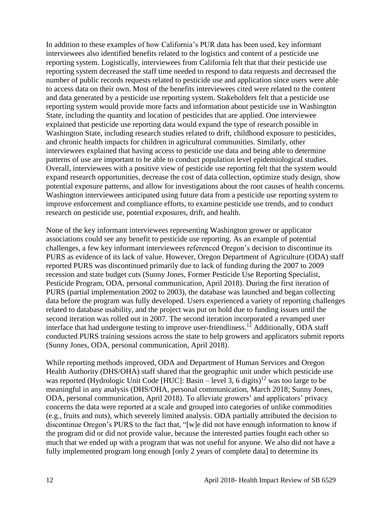In addition to these examples of how California's PUR data has been used, key informant interviewees also identified benefits related to the logistics and content of a pesticide use reporting system. Logistically, interviewees from California felt that that their pesticide use reporting system decreased the staff time needed to respond to data requests and decreased the number of public records requests related to pesticide use and application since users were able to access data on their own. Most of the benefits interviewees cited were related to the content and data generated by a pesticide use reporting system. Stakeholders felt that a pesticide use reporting system would provide more facts and information about pesticide use in Washington State, including the quantity and location of pesticides that are applied. One interviewee explained that pesticide use reporting data would expand the type of research possible in Washington State, including research studies related to drift, childhood exposure to pesticides, and chronic health impacts for children in agricultural communities. Similarly, other interviewees explained that having access to pesticide use data and being able to determine patterns of use are important to be able to conduct population level epidemiological studies. Overall, interviewees with a positive view of pesticide use reporting felt that the system would expand research opportunities, decrease the cost of data collection, optimize study design, show potential exposure patterns, and allow for investigations about the root causes of health concerns. Washington interviewees anticipated using future data from a pesticide use reporting system to improve enforcement and compliance efforts, to examine pesticide use trends, and to conduct research on pesticide use, potential exposures, drift, and health.

None of the key informant interviewees representing Washington grower or applicator associations could see any benefit to pesticide use reporting. As an example of potential challenges, a few key informant interviewees referenced Oregon's decision to discontinue its PURS as evidence of its lack of value. However, Oregon Department of Agriculture (ODA) staff reported PURS was discontinued primarily due to lack of funding during the 2007 to 2009 recession and state budget cuts (Sunny Jones, Former Pesticide Use Reporting Specialist, Pesticide Program, ODA, personal communication, April 2018). During the first iteration of PURS (partial implementation 2002 to 2003), the database was launched and began collecting data before the program was fully developed. Users experienced a variety of reporting challenges related to database usability, and the project was put on hold due to funding issues until the second iteration was rolled out in 2007. The second iteration incorporated a revamped user interface that had undergone testing to improve user-friendliness.<sup>12</sup> Additionally, ODA staff conducted PURS training sessions across the state to help growers and applicators submit reports (Sunny Jones, ODA, personal communication, April 2018).

While reporting methods improved, ODA and Department of Human Services and Oregon Health Authority (DHS/OHA) staff shared that the geographic unit under which pesticide use was reported (Hydrologic Unit Code [HUC]: Basin – level 3, 6 digits)<sup>12</sup> was too large to be meaningful in any analysis (DHS/OHA, personal communication, March 2018; Sunny Jones, ODA, personal communication, April 2018). To alleviate growers' and applicators' privacy concerns the data were reported at a scale and grouped into categories of unlike commodities (e.g., fruits and nuts), which severely limited analysis. ODA partially attributed the decision to discontinue Oregon's PURS to the fact that, "[w]e did not have enough information to know if the program did or did not provide value, because the interested parties fought each other so much that we ended up with a program that was not useful for anyone. We also did not have a fully implemented program long enough [only 2 years of complete data] to determine its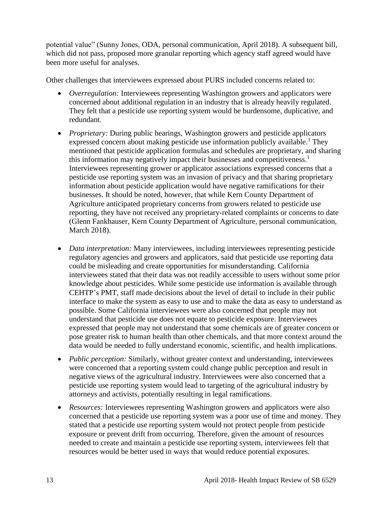potential value" (Sunny Jones, ODA, personal communication, April 2018). A subsequent bill, which did not pass, proposed more granular reporting which agency staff agreed would have been more useful for analyses.

Other challenges that interviewees expressed about PURS included concerns related to:

- *Overregulation:* Interviewees representing Washington growers and applicators were concerned about additional regulation in an industry that is already heavily regulated. They felt that a pesticide use reporting system would be burdensome, duplicative, and redundant.
- *Proprietary:* During public hearings, Washington growers and pesticide applicators expressed concern about making pesticide use information publicly available.<sup>1</sup> They mentioned that pesticide application formulas and schedules are proprietary, and sharing this information may negatively impact their businesses and competitiveness.<sup>1</sup> Interviewees representing grower or applicator associations expressed concerns that a pesticide use reporting system was an invasion of privacy and that sharing proprietary information about pesticide application would have negative ramifications for their businesses. It should be noted, however, that while Kern County Department of Agriculture anticipated proprietary concerns from growers related to pesticide use reporting, they have not received any proprietary-related complaints or concerns to date (Glenn Fankhauser, Kern County Department of Agriculture, personal communication, March 2018).
- *Data interpretation:* Many interviewees, including interviewees representing pesticide regulatory agencies and growers and applicators, said that pesticide use reporting data could be misleading and create opportunities for misunderstanding. California interviewees stated that their data was not readily accessible to users without some prior knowledge about pesticides. While some pesticide use information is available through CEHTP's PMT, staff made decisions about the level of detail to include in their public interface to make the system as easy to use and to make the data as easy to understand as possible. Some California interviewees were also concerned that people may not understand that pesticide use does not equate to pesticide exposure. Interviewees expressed that people may not understand that some chemicals are of greater concern or pose greater risk to human health than other chemicals, and that more context around the data would be needed to fully understand economic, scientific, and health implications.
- *Public perception:* Similarly, without greater context and understanding, interviewees were concerned that a reporting system could change public perception and result in negative views of the agricultural industry. Interviewees were also concerned that a pesticide use reporting system would lead to targeting of the agricultural industry by attorneys and activists, potentially resulting in legal ramifications.
- *Resources:* Interviewees representing Washington growers and applicators were also concerned that a pesticide use reporting system was a poor use of time and money. They stated that a pesticide use reporting system would not protect people from pesticide exposure or prevent drift from occurring. Therefore, given the amount of resources needed to create and maintain a pesticide use reporting system, interviewees felt that resources would be better used in ways that would reduce potential exposures.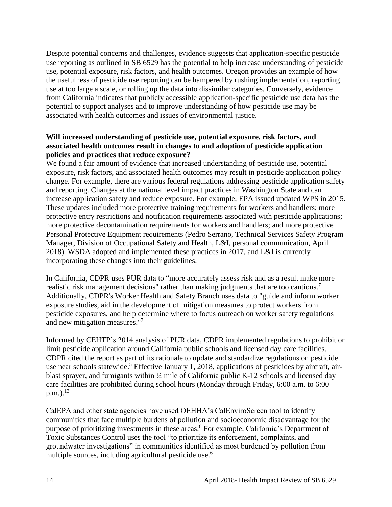Despite potential concerns and challenges, evidence suggests that application-specific pesticide use reporting as outlined in SB 6529 has the potential to help increase understanding of pesticide use, potential exposure, risk factors, and health outcomes. Oregon provides an example of how the usefulness of pesticide use reporting can be hampered by rushing implementation, reporting use at too large a scale, or rolling up the data into dissimilar categories. Conversely, evidence from California indicates that publicly accessible application-specific pesticide use data has the potential to support analyses and to improve understanding of how pesticide use may be associated with health outcomes and issues of environmental justice.

#### **Will increased understanding of pesticide use, potential exposure, risk factors, and associated health outcomes result in changes to and adoption of pesticide application policies and practices that reduce exposure?**

We found a fair amount of evidence that increased understanding of pesticide use, potential exposure, risk factors, and associated health outcomes may result in pesticide application policy change. For example, there are various federal regulations addressing pesticide application safety and reporting. Changes at the national level impact practices in Washington State and can increase application safety and reduce exposure. For example, EPA issued updated WPS in 2015. These updates included more protective training requirements for workers and handlers; more protective entry restrictions and notification requirements associated with pesticide applications; more protective decontamination requirements for workers and handlers; and more protective Personal Protective Equipment requirements (Pedro Serrano, Technical Services Safety Program Manager, Division of Occupational Safety and Health, L&I, personal communication, April 2018). WSDA adopted and implemented these practices in 2017, and L&I is currently incorporating these changes into their guidelines.

In California, CDPR uses PUR data to "more accurately assess risk and as a result make more realistic risk management decisions" rather than making judgments that are too cautious.<sup>7</sup> Additionally, CDPR's Worker Health and Safety Branch uses data to "guide and inform worker exposure studies, aid in the development of mitigation measures to protect workers from pesticide exposures, and help determine where to focus outreach on worker safety regulations and new mitigation measures."<sup>7</sup>

Informed by CEHTP's 2014 analysis of PUR data, CDPR implemented regulations to prohibit or limit pesticide application around California public schools and licensed day care facilities. CDPR cited the report as part of its rationale to update and standardize regulations on pesticide use near schools statewide.<sup>5</sup> Effective January 1, 2018, applications of pesticides by aircraft, airblast sprayer, and fumigants within ¼ mile of California public K-12 schools and licensed day care facilities are prohibited during school hours (Monday through Friday, 6:00 a.m. to 6:00  $(p.m.).$ <sup>13</sup>

CalEPA and other state agencies have used OEHHA's CalEnviroScreen tool to identify communities that face multiple burdens of pollution and socioeconomic disadvantage for the purpose of prioritizing investments in these areas.<sup>6</sup> For example, California's Department of Toxic Substances Control uses the tool "to prioritize its enforcement, complaints, and groundwater investigations" in communities identified as most burdened by pollution from multiple sources, including agricultural pesticide use.<sup>6</sup>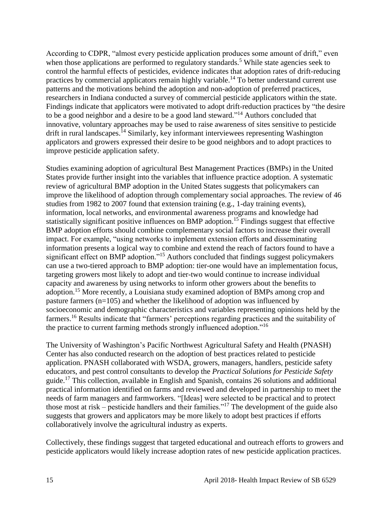According to CDPR, "almost every pesticide application produces some amount of drift," even when those applications are performed to regulatory standards.<sup>5</sup> While state agencies seek to control the harmful effects of pesticides, evidence indicates that adoption rates of drift-reducing practices by commercial applicators remain highly variable.<sup>14</sup> To better understand current use patterns and the motivations behind the adoption and non-adoption of preferred practices, researchers in Indiana conducted a survey of commercial pesticide applicators within the state. Findings indicate that applicators were motivated to adopt drift-reduction practices by "the desire to be a good neighbor and a desire to be a good land steward."<sup>14</sup> Authors concluded that innovative, voluntary approaches may be used to raise awareness of sites sensitive to pesticide drift in rural landscapes.<sup>14</sup> Similarly, key informant interviewees representing Washington applicators and growers expressed their desire to be good neighbors and to adopt practices to improve pesticide application safety.

Studies examining adoption of agricultural Best Management Practices (BMPs) in the United States provide further insight into the variables that influence practice adoption. A systematic review of agricultural BMP adoption in the United States suggests that policymakers can improve the likelihood of adoption through complementary social approaches. The review of 46 studies from 1982 to 2007 found that extension training (e.g., 1-day training events), information, local networks, and environmental awareness programs and knowledge had statistically significant positive influences on BMP adoption.<sup>15</sup> Findings suggest that effective BMP adoption efforts should combine complementary social factors to increase their overall impact. For example, "using networks to implement extension efforts and disseminating information presents a logical way to combine and extend the reach of factors found to have a significant effect on BMP adoption."<sup>15</sup> Authors concluded that findings suggest policymakers can use a two-tiered approach to BMP adoption: tier-one would have an implementation focus, targeting growers most likely to adopt and tier-two would continue to increase individual capacity and awareness by using networks to inform other growers about the benefits to adoption.<sup>15</sup> More recently, a Louisiana study examined adoption of BMPs among crop and pasture farmers (n=105) and whether the likelihood of adoption was influenced by socioeconomic and demographic characteristics and variables representing opinions held by the farmers.<sup>16</sup> Results indicate that "farmers' perceptions regarding practices and the suitability of the practice to current farming methods strongly influenced adoption."<sup>16</sup>

The University of Washington's Pacific Northwest Agricultural Safety and Health (PNASH) Center has also conducted research on the adoption of best practices related to pesticide application. PNASH collaborated with WSDA, growers, managers, handlers, pesticide safety educators, and pest control consultants to develop the *Practical Solutions for Pesticide Safety* guide.<sup>17</sup> This collection, available in English and Spanish, contains 26 solutions and additional practical information identified on farms and reviewed and developed in partnership to meet the needs of farm managers and farmworkers. "[Ideas] were selected to be practical and to protect those most at risk – pesticide handlers and their families."<sup>17</sup> The development of the guide also suggests that growers and applicators may be more likely to adopt best practices if efforts collaboratively involve the agricultural industry as experts.

Collectively, these findings suggest that targeted educational and outreach efforts to growers and pesticide applicators would likely increase adoption rates of new pesticide application practices.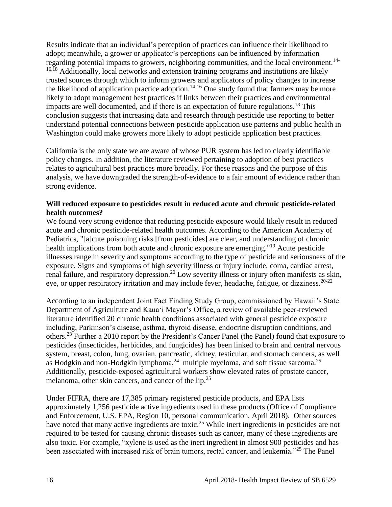Results indicate that an individual's perception of practices can influence their likelihood to adopt; meanwhile, a grower or applicator's perceptions can be influenced by information regarding potential impacts to growers, neighboring communities, and the local environment.<sup>14-</sup>  $16,18$  Additionally, local networks and extension training programs and institutions are likely trusted sources through which to inform growers and applicators of policy changes to increase the likelihood of application practice adoption.<sup>14-16</sup> One study found that farmers may be more likely to adopt management best practices if links between their practices and environmental impacts are well documented, and if there is an expectation of future regulations.<sup>18</sup> This conclusion suggests that increasing data and research through pesticide use reporting to better understand potential connections between pesticide application use patterns and public health in Washington could make growers more likely to adopt pesticide application best practices.

California is the only state we are aware of whose PUR system has led to clearly identifiable policy changes. In addition, the literature reviewed pertaining to adoption of best practices relates to agricultural best practices more broadly. For these reasons and the purpose of this analysis, we have downgraded the strength-of-evidence to a fair amount of evidence rather than strong evidence.

#### **Will reduced exposure to pesticides result in reduced acute and chronic pesticide-related health outcomes?**

We found very strong evidence that reducing pesticide exposure would likely result in reduced acute and chronic pesticide-related health outcomes. According to the American Academy of Pediatrics, "[a]cute poisoning risks [from pesticides] are clear, and understanding of chronic health implications from both acute and chronic exposure are emerging."<sup>19</sup> Acute pesticide illnesses range in severity and symptoms according to the type of pesticide and seriousness of the exposure. Signs and symptoms of high severity illness or injury include, coma, cardiac arrest, renal failure, and respiratory depression.<sup>20</sup> Low severity illness or injury often manifests as skin, eye, or upper respiratory irritation and may include fever, headache, fatigue, or dizziness.  $20-22$ 

According to an independent Joint Fact Finding Study Group, commissioned by Hawaii's State Department of Agriculture and Kauaʻi Mayor's Office, a review of available peer-reviewed literature identified 20 chronic health conditions associated with general pesticide exposure including, Parkinson's disease, asthma, thyroid disease, endocrine disruption conditions, and others.<sup>23</sup> Further a 2010 report by the President's Cancer Panel (the Panel) found that exposure to pesticides (insecticides, herbicides, and fungicides) has been linked to brain and central nervous system, breast, colon, lung, ovarian, pancreatic, kidney, testicular, and stomach cancers, as well as Hodgkin and non-Hodgkin lymphoma,  $^{24}$  multiple myeloma, and soft tissue sarcoma.<sup>25</sup> Additionally, pesticide-exposed agricultural workers show elevated rates of prostate cancer, melanoma, other skin cancers, and cancer of the lip.<sup>25</sup>

Under FIFRA, there are 17,385 primary registered pesticide products, and EPA lists approximately 1,256 pesticide active ingredients used in these products (Office of Compliance and Enforcement, U.S. EPA, Region 10, personal communication, April 2018). Other sources have noted that many active ingredients are toxic.<sup>25</sup> While inert ingredients in pesticides are not required to be tested for causing chronic diseases such as cancer, many of these ingredients are also toxic. For example, "xylene is used as the inert ingredient in almost 900 pesticides and has been associated with increased risk of brain tumors, rectal cancer, and leukemia."<sup>25</sup> The Panel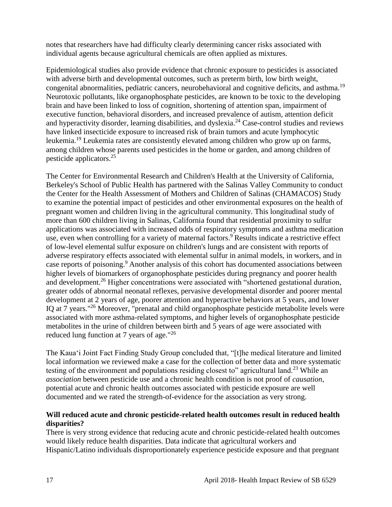notes that researchers have had difficulty clearly determining cancer risks associated with individual agents because agricultural chemicals are often applied as mixtures.

Epidemiological studies also provide evidence that chronic exposure to pesticides is associated with adverse birth and developmental outcomes, such as preterm birth, low birth weight, congenital abnormalities, pediatric cancers, neurobehavioral and cognitive deficits, and asthma.<sup>19</sup> Neurotoxic pollutants, like organophosphate pesticides, are known to be toxic to the developing brain and have been linked to loss of cognition, shortening of attention span, impairment of executive function, behavioral disorders, and increased prevalence of autism, attention deficit and hyperactivity disorder, learning disabilities, and dyslexia.<sup>24</sup> Case-control studies and reviews have linked insecticide exposure to increased risk of brain tumors and acute lymphocytic leukemia.<sup>19</sup> Leukemia rates are consistently elevated among children who grow up on farms, among children whose parents used pesticides in the home or garden, and among children of pesticide applicators.<sup>25</sup>

The Center for Environmental Research and Children's Health at the University of California, Berkeley's School of Public Health has partnered with the Salinas Valley Community to conduct the Center for the Health Assessment of Mothers and Children of Salinas (CHAMACOS) Study to examine the potential impact of pesticides and other environmental exposures on the health of pregnant women and children living in the agricultural community. This longitudinal study of more than 600 children living in Salinas, California found that residential proximity to sulfur applications was associated with increased odds of respiratory symptoms and asthma medication use, even when controlling for a variety of maternal factors.<sup>9</sup> Results indicate a restrictive effect of low-level elemental sulfur exposure on children's lungs and are consistent with reports of adverse respiratory effects associated with elemental sulfur in animal models, in workers, and in case reports of poisoning.<sup>9</sup> Another analysis of this cohort has documented associations between higher levels of biomarkers of organophosphate pesticides during pregnancy and poorer health and development.<sup>26</sup> Higher concentrations were associated with "shortened gestational duration, greater odds of abnormal neonatal reflexes, pervasive developmental disorder and poorer mental development at 2 years of age, poorer attention and hyperactive behaviors at 5 years, and lower IQ at 7 years."<sup>26</sup> Moreover, "prenatal and child organophosphate pesticide metabolite levels were associated with more asthma-related symptoms, and higher levels of organophosphate pesticide metabolites in the urine of children between birth and 5 years of age were associated with reduced lung function at 7 years of age."<sup>26</sup>

The Kauaʻi Joint Fact Finding Study Group concluded that, "[t]he medical literature and limited local information we reviewed make a case for the collection of better data and more systematic testing of the environment and populations residing closest to" agricultural land.<sup>23</sup> While an *association* between pesticide use and a chronic health condition is not proof of *causation*, potential acute and chronic health outcomes associated with pesticide exposure are well documented and we rated the strength-of-evidence for the association as very strong.

#### **Will reduced acute and chronic pesticide-related health outcomes result in reduced health disparities?**

There is very strong evidence that reducing acute and chronic pesticide-related health outcomes would likely reduce health disparities. Data indicate that agricultural workers and Hispanic/Latino individuals disproportionately experience pesticide exposure and that pregnant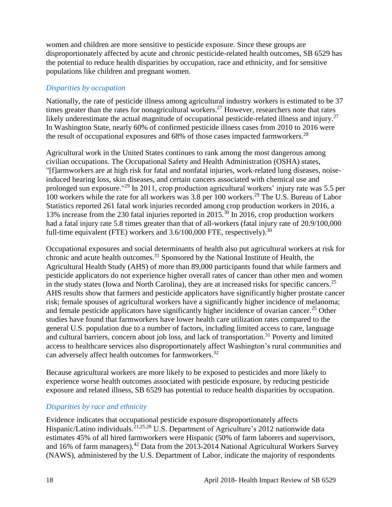women and children are more sensitive to pesticide exposure. Since these groups are disproportionately affected by acute and chronic pesticide-related health outcomes, SB 6529 has the potential to reduce health disparities by occupation, race and ethnicity, and for sensitive populations like children and pregnant women.

#### *Disparities by occupation*

Nationally, the rate of pesticide illness among agricultural industry workers is estimated to be 37 times greater than the rates for nonagricultural workers.<sup>27</sup> However, researchers note that rates likely underestimate the actual magnitude of occupational pesticide-related illness and injury.<sup>27</sup> In Washington State, nearly 60% of confirmed pesticide illness cases from 2010 to 2016 were the result of occupational exposures and  $68\%$  of those cases impacted farmworkers.<sup>28</sup>

Agricultural work in the United States continues to rank among the most dangerous among civilian occupations. The Occupational Safety and Health Administration (OSHA) states, "[f]armworkers are at high risk for fatal and nonfatal injuries, work-related lung diseases, noiseinduced hearing loss, skin diseases, and certain cancers associated with chemical use and prolonged sun exposure."<sup>29</sup> In 2011, crop production agricultural workers' injury rate was 5.5 per 100 workers while the rate for all workers was 3.8 per 100 workers.<sup>29</sup> The U.S. Bureau of Labor Statistics reported 261 fatal work injuries recorded among crop production workers in 2016, a 13% increase from the 230 fatal injuries reported in 2015.<sup>30</sup> In 2016, crop production workers had a fatal injury rate 5.8 times greater than that of all-workers (fatal injury rate of 20.9/100,000 full-time equivalent (FTE) workers and  $3.6/100,000$  FTE, respectively).<sup>30</sup>

Occupational exposures and social determinants of health also put agricultural workers at risk for chronic and acute health outcomes.<sup>31</sup> Sponsored by the National Institute of Health, the Agricultural Health Study (AHS) of more than 89,000 participants found that while farmers and pesticide applicators do not experience higher overall rates of cancer than other men and women in the study states (Iowa and North Carolina), they are at increased risks for specific cancers.<sup>25</sup> AHS results show that farmers and pesticide applicators have significantly higher prostate cancer risk; female spouses of agricultural workers have a significantly higher incidence of melanoma; and female pesticide applicators have significantly higher incidence of ovarian cancer.<sup>25</sup> Other studies have found that farmworkers have lower health care utilization rates compared to the general U.S. population due to a number of factors, including limited access to care, language and cultural barriers, concern about job loss, and lack of transportation.<sup>31</sup> Poverty and limited access to healthcare services also disproportionately affect Washington's rural communities and can adversely affect health outcomes for farmworkers.<sup>32</sup>

Because agricultural workers are more likely to be exposed to pesticides and more likely to experience worse health outcomes associated with pesticide exposure, by reducing pesticide exposure and related illness, SB 6529 has potential to reduce health disparities by occupation.

#### *Disparities by race and ethnicity*

Evidence indicates that occupational pesticide exposure disproportionately affects Hispanic/Latino individuals.<sup>21,25,28</sup> U.S. Department of Agriculture's 2012 nationwide data estimates 45% of all hired farmworkers were Hispanic (50% of farm laborers and supervisors, and 16% of farm managers).<sup>42</sup> Data from the 2013-2014 National Agricultural Workers Survey (NAWS), administered by the U.S. Department of Labor, indicate the majority of respondents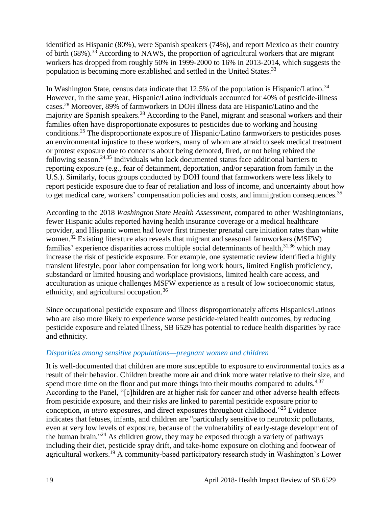identified as Hispanic (80%), were Spanish speakers (74%), and report Mexico as their country of birth  $(68\%)$ .<sup>33</sup> According to NAWS, the proportion of agricultural workers that are migrant workers has dropped from roughly 50% in 1999-2000 to 16% in 2013-2014, which suggests the population is becoming more established and settled in the United States.<sup>33</sup>

In Washington State, census data indicate that  $12.5\%$  of the population is Hispanic/Latino.<sup>34</sup> However, in the same year, Hispanic/Latino individuals accounted for 40% of pesticide-illness cases.<sup>28</sup> Moreover, 89% of farmworkers in DOH illness data are Hispanic/Latino and the majority are Spanish speakers.<sup>28</sup> According to the Panel, migrant and seasonal workers and their families often have disproportionate exposures to pesticides due to working and housing conditions.<sup>25</sup> The disproportionate exposure of Hispanic/Latino farmworkers to pesticides poses an environmental injustice to these workers, many of whom are afraid to seek medical treatment or protest exposure due to concerns about being demoted, fired, or not being rehired the following season.<sup>24,35</sup> Individuals who lack documented status face additional barriers to reporting exposure (e.g., fear of detainment, deportation, and/or separation from family in the U.S.). Similarly, focus groups conducted by DOH found that farmworkers were less likely to report pesticide exposure due to fear of retaliation and loss of income, and uncertainty about how to get medical care, workers' compensation policies and costs, and immigration consequences.<sup>35</sup>

According to the 2018 *Washington State Health Assessment*, compared to other Washingtonians, fewer Hispanic adults reported having health insurance coverage or a medical healthcare provider, and Hispanic women had lower first trimester prenatal care initiation rates than white women.<sup>32</sup> Existing literature also reveals that migrant and seasonal farmworkers (MSFW) families' experience disparities across multiple social determinants of health,<sup>31,36</sup> which may increase the risk of pesticide exposure. For example, one systematic review identified a highly transient lifestyle, poor labor compensation for long work hours, limited English proficiency, substandard or limited housing and workplace provisions, limited health care access, and acculturation as unique challenges MSFW experience as a result of low socioeconomic status, ethnicity, and agricultural occupation.<sup>36</sup>

Since occupational pesticide exposure and illness disproportionately affects Hispanics/Latinos who are also more likely to experience worse pesticide-related health outcomes, by reducing pesticide exposure and related illness, SB 6529 has potential to reduce health disparities by race and ethnicity.

#### *Disparities among sensitive populations—pregnant women and children*

It is well-documented that children are more susceptible to exposure to environmental toxics as a result of their behavior. Children breathe more air and drink more water relative to their size, and spend more time on the floor and put more things into their mouths compared to adults. $4,37$ According to the Panel, "[c]hildren are at higher risk for cancer and other adverse health effects from pesticide exposure, and their risks are linked to parental pesticide exposure prior to conception, *in utero* exposures, and direct exposures throughout childhood."<sup>25</sup> Evidence indicates that fetuses, infants, and children are "particularly sensitive to neurotoxic pollutants, even at very low levels of exposure, because of the vulnerability of early-stage development of the human brain."<sup>24</sup> As children grow, they may be exposed through a variety of pathways including their diet, pesticide spray drift, and take-home exposure on clothing and footwear of agricultural workers.<sup>19</sup> A community-based participatory research study in Washington's Lower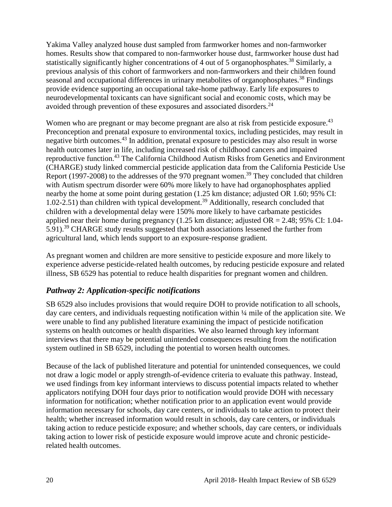Yakima Valley analyzed house dust sampled from farmworker homes and non-farmworker homes. Results show that compared to non-farmworker house dust, farmworker house dust had statistically significantly higher concentrations of 4 out of 5 organophosphates.<sup>38</sup> Similarly, a previous analysis of this cohort of farmworkers and non-farmworkers and their children found seasonal and occupational differences in urinary metabolites of organophosphates.<sup>38</sup> Findings provide evidence supporting an occupational take-home pathway. Early life exposures to neurodevelopmental toxicants can have significant social and economic costs, which may be avoided through prevention of these exposures and associated disorders.<sup>24</sup>

Women who are pregnant or may become pregnant are also at risk from pesticide exposure.<sup>43</sup> Preconception and prenatal exposure to environmental toxics, including pesticides, may result in negative birth outcomes.<sup>43</sup> In addition, prenatal exposure to pesticides may also result in worse health outcomes later in life, including increased risk of childhood cancers and impaired reproductive function.<sup>43</sup> The California Childhood Autism Risks from Genetics and Environment (CHARGE) study linked commercial pesticide application data from the California Pesticide Use Report (1997-2008) to the addresses of the 970 pregnant women.<sup>39</sup> They concluded that children with Autism spectrum disorder were 60% more likely to have had organophosphates applied nearby the home at some point during gestation (1.25 km distance; adjusted OR 1.60; 95% CI: 1.02-2.51) than children with typical development.<sup>39</sup> Additionally, research concluded that children with a developmental delay were 150% more likely to have carbamate pesticides applied near their home during pregnancy  $(1.25 \text{ km} \text{ distance}; \text{ adjusted OR} = 2.48; 95\% \text{ CI}: 1.04$ -5.91).<sup>39</sup> CHARGE study results suggested that both associations lessened the further from agricultural land, which lends support to an exposure-response gradient.

As pregnant women and children are more sensitive to pesticide exposure and more likely to experience adverse pesticide-related health outcomes, by reducing pesticide exposure and related illness, SB 6529 has potential to reduce health disparities for pregnant women and children.

#### *Pathway 2: Application-specific notifications*

SB 6529 also includes provisions that would require DOH to provide notification to all schools, day care centers, and individuals requesting notification within ¼ mile of the application site. We were unable to find any published literature examining the impact of pesticide notification systems on health outcomes or health disparities. We also learned through key informant interviews that there may be potential unintended consequences resulting from the notification system outlined in SB 6529, including the potential to worsen health outcomes.

Because of the lack of published literature and potential for unintended consequences, we could not draw a logic model or apply strength-of-evidence criteria to evaluate this pathway. Instead, we used findings from key informant interviews to discuss potential impacts related to whether applicators notifying DOH four days prior to notification would provide DOH with necessary information for notification; whether notification prior to an application event would provide information necessary for schools, day care centers, or individuals to take action to protect their health; whether increased information would result in schools, day care centers, or individuals taking action to reduce pesticide exposure; and whether schools, day care centers, or individuals taking action to lower risk of pesticide exposure would improve acute and chronic pesticiderelated health outcomes.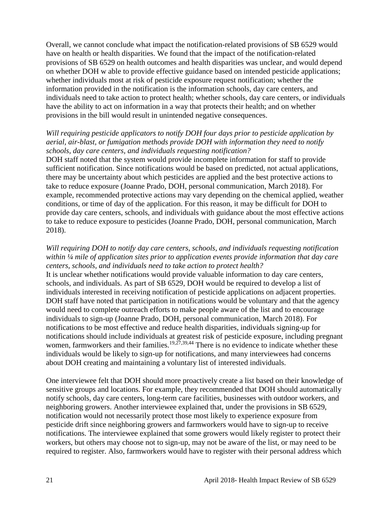Overall, we cannot conclude what impact the notification-related provisions of SB 6529 would have on health or health disparities. We found that the impact of the notification-related provisions of SB 6529 on health outcomes and health disparities was unclear, and would depend on whether DOH w able to provide effective guidance based on intended pesticide applications; whether individuals most at risk of pesticide exposure request notification; whether the information provided in the notification is the information schools, day care centers, and individuals need to take action to protect health; whether schools, day care centers, or individuals have the ability to act on information in a way that protects their health; and on whether provisions in the bill would result in unintended negative consequences.

#### *Will requiring pesticide applicators to notify DOH four days prior to pesticide application by aerial, air-blast, or fumigation methods provide DOH with information they need to notify schools, day care centers, and individuals requesting notification?*

DOH staff noted that the system would provide incomplete information for staff to provide sufficient notification. Since notifications would be based on predicted, not actual applications, there may be uncertainty about which pesticides are applied and the best protective actions to take to reduce exposure (Joanne Prado, DOH, personal communication, March 2018). For example, recommended protective actions may vary depending on the chemical applied, weather conditions, or time of day of the application. For this reason, it may be difficult for DOH to provide day care centers, schools, and individuals with guidance about the most effective actions to take to reduce exposure to pesticides (Joanne Prado, DOH, personal communication, March 2018).

#### *Will requiring DOH to notify day care centers, schools, and individuals requesting notification within ¼ mile of application sites prior to application events provide information that day care centers, schools, and individuals need to take action to protect health?*

It is unclear whether notifications would provide valuable information to day care centers, schools, and individuals. As part of SB 6529, DOH would be required to develop a list of individuals interested in receiving notification of pesticide applications on adjacent properties. DOH staff have noted that participation in notifications would be voluntary and that the agency would need to complete outreach efforts to make people aware of the list and to encourage individuals to sign-up (Joanne Prado, DOH, personal communication, March 2018). For notifications to be most effective and reduce health disparities, individuals signing-up for notifications should include individuals at greatest risk of pesticide exposure, including pregnant women, farmworkers and their families.<sup>19,27,39,44</sup> There is no evidence to indicate whether these individuals would be likely to sign-up for notifications, and many interviewees had concerns about DOH creating and maintaining a voluntary list of interested individuals.

One interviewee felt that DOH should more proactively create a list based on their knowledge of sensitive groups and locations. For example, they recommended that DOH should automatically notify schools, day care centers, long-term care facilities, businesses with outdoor workers, and neighboring growers. Another interviewee explained that, under the provisions in SB 6529, notification would not necessarily protect those most likely to experience exposure from pesticide drift since neighboring growers and farmworkers would have to sign-up to receive notifications. The interviewee explained that some growers would likely register to protect their workers, but others may choose not to sign-up, may not be aware of the list, or may need to be required to register. Also, farmworkers would have to register with their personal address which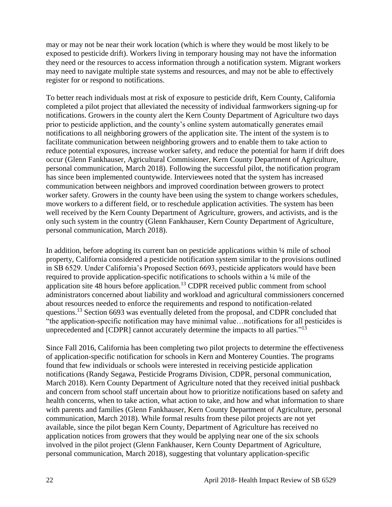may or may not be near their work location (which is where they would be most likely to be exposed to pesticide drift). Workers living in temporary housing may not have the information they need or the resources to access information through a notification system. Migrant workers may need to navigate multiple state systems and resources, and may not be able to effectively register for or respond to notifications.

To better reach individuals most at risk of exposure to pesticide drift, Kern County, California completed a pilot project that alleviated the necessity of individual farmworkers signing-up for notifications. Growers in the county alert the Kern County Department of Agriculture two days prior to pesticide appliction, and the county's online system automatically generates email notifications to all neighboring growers of the application site. The intent of the system is to facilitate communication between neighboring growers and to enable them to take action to reduce potential exposures, increase worker safety, and reduce the potential for harm if drift does occur (Glenn Fankhauser, Agricultural Commisioner, Kern County Department of Agriculture, personal communication, March 2018). Following the successful pilot, the notification program has since been implemented countywide. Interviewees noted that the system has increased communication between neighbors and improved coordination between growers to protect worker safety. Growers in the county have been using the system to change workers schedules, move workers to a different field, or to reschedule application activities. The system has been well received by the Kern County Department of Agriculture, growers, and activists, and is the only such system in the country (Glenn Fankhauser, Kern County Department of Agriculture, personal communication, March 2018).

In addition, before adopting its current ban on pesticide applications within ¼ mile of school property, California considered a pesticide notification system similar to the provisions outlined in SB 6529. Under California's Proposed Section 6693, pesticide applicators would have been required to provide application-specific notifications to schools within a ¼ mile of the application site 48 hours before application.<sup>13</sup> CDPR received public comment from school administrators concerned about liability and workload and agricultural commissioners concerned about resources needed to enforce the requirements and respond to notification-related questions.<sup>13</sup> Section 6693 was eventually deleted from the proposal, and CDPR concluded that "the application-specific notification may have minimal value…notifications for all pesticides is unprecedented and [CDPR] cannot accurately determine the impacts to all parties."<sup>13</sup>

Since Fall 2016, California has been completing two pilot projects to determine the effectiveness of application-specific notification for schools in Kern and Monterey Counties. The programs found that few individuals or schools were interested in receiving pesticide application notifications (Randy Segawa, Pesticide Programs Division, CDPR, personal communication, March 2018). Kern County Department of Agriculture noted that they received initial pushback and concern from school staff uncertain about how to prioritize notifications based on safety and health concerns, when to take action, what action to take, and how and what information to share with parents and families (Glenn Fankhauser, Kern County Department of Agriculture, personal communication, March 2018). While formal results from these pilot projects are not yet available, since the pilot began Kern County, Department of Agriculture has received no application notices from growers that they would be applying near one of the six schools involved in the pilot project (Glenn Fankhauser, Kern County Department of Agriculture, personal communication, March 2018), suggesting that voluntary application-specific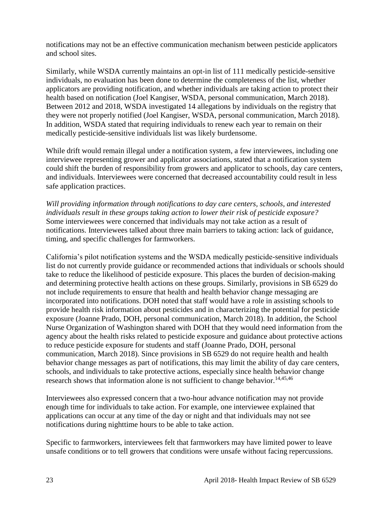notifications may not be an effective communication mechanism between pesticide applicators and school sites.

Similarly, while WSDA currently maintains an opt-in list of 111 medically pesticide-sensitive individuals, no evaluation has been done to determine the completeness of the list, whether applicators are providing notification, and whether individuals are taking action to protect their health based on notification (Joel Kangiser, WSDA, personal communication, March 2018). Between 2012 and 2018, WSDA investigated 14 allegations by individuals on the registry that they were not properly notified (Joel Kangiser, WSDA, personal communication, March 2018). In addition, WSDA stated that requiring individuals to renew each year to remain on their medically pesticide-sensitive individuals list was likely burdensome.

While drift would remain illegal under a notification system, a few interviewees, including one interviewee representing grower and applicator associations, stated that a notification system could shift the burden of responsibility from growers and applicator to schools, day care centers, and individuals. Interviewees were concerned that decreased accountability could result in less safe application practices.

*Will providing information through notifications to day care centers, schools, and interested individuals result in these groups taking action to lower their risk of pesticide exposure?* Some interviewees were concerned that individuals may not take action as a result of notifications. Interviewees talked about three main barriers to taking action: lack of guidance, timing, and specific challenges for farmworkers.

California's pilot notification systems and the WSDA medically pesticide-sensitive individuals list do not currently provide guidance or recommended actions that individuals or schools should take to reduce the likelihood of pesticide exposure. This places the burden of decision-making and determining protective health actions on these groups. Similarly, provisions in SB 6529 do not include requirements to ensure that health and health behavior change messaging are incorporated into notifications. DOH noted that staff would have a role in assisting schools to provide health risk information about pesticides and in characterizing the potential for pesticide exposure (Joanne Prado, DOH, personal communication, March 2018). In addition, the School Nurse Organization of Washington shared with DOH that they would need information from the agency about the health risks related to pesticide exposure and guidance about protective actions to reduce pesticide exposure for students and staff (Joanne Prado, DOH, personal communication, March 2018). Since provisions in SB 6529 do not require health and health behavior change messages as part of notifications, this may limit the ability of day care centers, schools, and individuals to take protective actions, especially since health behavior change research shows that information alone is not sufficient to change behavior.<sup>14,45,46</sup>

Interviewees also expressed concern that a two-hour advance notification may not provide enough time for individuals to take action. For example, one interviewee explained that applications can occur at any time of the day or night and that individuals may not see notifications during nighttime hours to be able to take action.

Specific to farmworkers, interviewees felt that farmworkers may have limited power to leave unsafe conditions or to tell growers that conditions were unsafe without facing repercussions.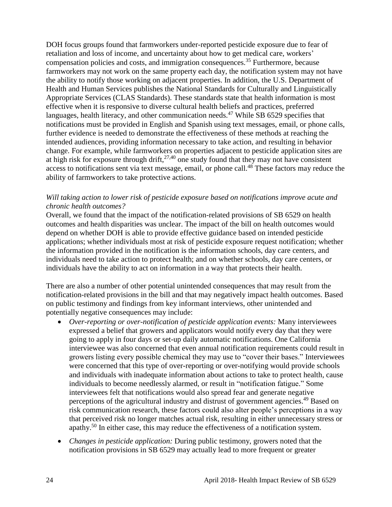DOH focus groups found that farmworkers under-reported pesticide exposure due to fear of retaliation and loss of income, and uncertainty about how to get medical care, workers' compensation policies and costs, and immigration consequences.<sup>35</sup> Furthermore, because farmworkers may not work on the same property each day, the notification system may not have the ability to notify those working on adjacent properties. In addition, the U.S. Department of Health and Human Services publishes the National Standards for Culturally and Linguistically Appropriate Services (CLAS Standards). These standards state that health information is most effective when it is responsive to diverse cultural health beliefs and practices, preferred languages, health literacy, and other communication needs.<sup>47</sup> While SB 6529 specifies that notifications must be provided in English and Spanish using text messages, email, or phone calls, further evidence is needed to demonstrate the effectiveness of these methods at reaching the intended audiences, providing information necessary to take action, and resulting in behavior change. For example, while farmworkers on properties adjacent to pesticide application sites are at high risk for exposure through drift,  $27,40$  one study found that they may not have consistent access to notifications sent via text message, email, or phone call.<sup>48</sup> These factors may reduce the ability of farmworkers to take protective actions.

#### *Will taking action to lower risk of pesticide exposure based on notifications improve acute and chronic health outcomes?*

Overall, we found that the impact of the notification-related provisions of SB 6529 on health outcomes and health disparities was unclear. The impact of the bill on health outcomes would depend on whether DOH is able to provide effective guidance based on intended pesticide applications; whether individuals most at risk of pesticide exposure request notification; whether the information provided in the notification is the information schools, day care centers, and individuals need to take action to protect health; and on whether schools, day care centers, or individuals have the ability to act on information in a way that protects their health.

There are also a number of other potential unintended consequences that may result from the notification-related provisions in the bill and that may negatively impact health outcomes. Based on public testimony and findings from key informant interviews, other unintended and potentially negative consequences may include:

- *Over-reporting or over-notification of pesticide application events:* Many interviewees expressed a belief that growers and applicators would notify every day that they were going to apply in four days or set-up daily automatic notifications. One California interviewee was also concerned that even annual notification requirements could result in growers listing every possible chemical they may use to "cover their bases." Interviewees were concerned that this type of over-reporting or over-notifying would provide schools and individuals with inadequate information about actions to take to protect health, cause individuals to become needlessly alarmed, or result in "notification fatigue." Some interviewees felt that notifications would also spread fear and generate negative perceptions of the agricultural industry and distrust of government agencies.<sup>49</sup> Based on risk communication research, these factors could also alter people's perceptions in a way that perceived risk no longer matches actual risk, resulting in either unnecessary stress or apathy.<sup>50</sup> In either case, this may reduce the effectiveness of a notification system.
- *Changes in pesticide application:* During public testimony, growers noted that the notification provisions in SB 6529 may actually lead to more frequent or greater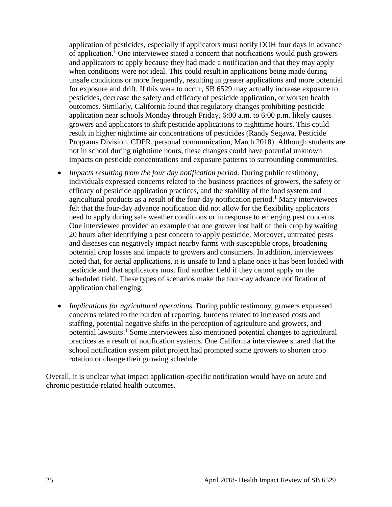application of pesticides, especially if applicators must notify DOH four days in advance of application.<sup>1</sup> One interviewee stated a concern that notifications would push growers and applicators to apply because they had made a notification and that they may apply when conditions were not ideal. This could result in applications being made during unsafe conditions or more frequently, resulting in greater applications and more potential for exposure and drift. If this were to occur, SB 6529 may actually increase exposure to pesticides, decrease the safety and efficacy of pesticide application, or worsen health outcomes. Similarly, California found that regulatory changes prohibiting pesticide application near schools Monday through Friday, 6:00 a.m. to 6:00 p.m. likely causes growers and applicators to shift pesticide applications to nighttime hours. This could result in higher nighttime air concentrations of pesticides (Randy Segawa, Pesticide Programs Division, CDPR, personal communication, March 2018). Although students are not in school during nighttime hours, these changes could have potential unknown impacts on pesticide concentrations and exposure patterns to surrounding communities.

- *Impacts resulting from the four day notification period.* During public testimony, individuals expressed concerns related to the business practices of growers, the safety or efficacy of pesticide application practices, and the stability of the food system and agricultural products as a result of the four-day notification period. <sup>1</sup> Many interviewees felt that the four-day advance notification did not allow for the flexibility applicators need to apply during safe weather conditions or in response to emerging pest concerns. One interviewee provided an example that one grower lost half of their crop by waiting 20 hours after identifying a pest concern to apply pesticide. Moreover, untreated pests and diseases can negatively impact nearby farms with susceptible crops, broadening potential crop losses and impacts to growers and consumers. In addition, interviewees noted that, for aerial applications, it is unsafe to land a plane once it has been loaded with pesticide and that applicators must find another field if they cannot apply on the scheduled field. These types of scenarios make the four-day advance notification of application challenging.
- *Implications for agricultural operations*. During public testimony, growers expressed concerns related to the burden of reporting, burdens related to increased costs and staffing, potential negative shifts in the perception of agriculture and growers, and potential lawsuits.<sup>1</sup> Some interviewees also mentioned potential changes to agricultural practices as a result of notification systems. One California interviewee shared that the school notification system pilot project had prompted some growers to shorten crop rotation or change their growing schedule.

<span id="page-25-0"></span>Overall, it is unclear what impact application-specific notification would have on acute and chronic pesticide-related health outcomes.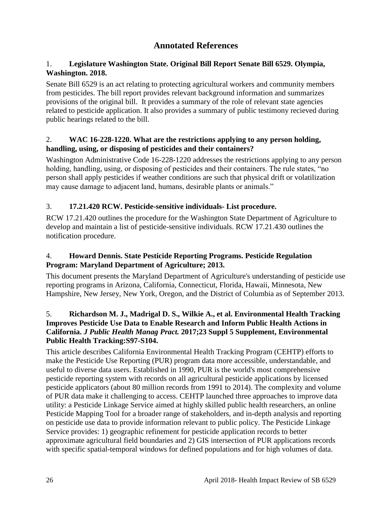## **Annotated References**

#### 1. **Legislature Washington State. Original Bill Report Senate Bill 6529. Olympia, Washington. 2018.**

Senate Bill 6529 is an act relating to protecting agricultural workers and community members from pesticides. The bill report provides relevant background information and summarizes provisions of the original bill. It provides a summary of the role of relevant state agencies related to pesticide application. It also provides a summary of public testimony recieved during public hearings related to the bill.

#### 2. **WAC 16-228-1220. What are the restrictions applying to any person holding, handling, using, or disposing of pesticides and their containers?**

Washington Administrative Code 16-228-1220 addresses the restrictions applying to any person holding, handling, using, or disposing of pesticides and their containers. The rule states, "no person shall apply pesticides if weather conditions are such that physical drift or volatilization may cause damage to adjacent land, humans, desirable plants or animals."

#### 3. **17.21.420 RCW. Pesticide-sensitive individuals- List procedure.**

RCW 17.21.420 outlines the procedure for the Washington State Department of Agriculture to develop and maintain a list of pesticide-sensitive individuals. RCW 17.21.430 outlines the notification procedure.

#### 4. **Howard Dennis. State Pesticide Reporting Programs. Pesticide Regulation Program: Maryland Department of Agriculture; 2013.**

This document presents the Maryland Department of Agriculture's understanding of pesticide use reporting programs in Arizona, California, Connecticut, Florida, Hawaii, Minnesota, New Hampshire, New Jersey, New York, Oregon, and the District of Columbia as of September 2013.

#### 5. **Richardson M. J., Madrigal D. S., Wilkie A., et al. Environmental Health Tracking Improves Pesticide Use Data to Enable Research and Inform Public Health Actions in California.** *J Public Health Manag Pract.* **2017;23 Suppl 5 Supplement, Environmental Public Health Tracking:S97-S104.**

This article describes California Environmental Health Tracking Program (CEHTP) efforts to make the Pesticide Use Reporting (PUR) program data more accessible, understandable, and useful to diverse data users. Established in 1990, PUR is the world's most comprehensive pesticide reporting system with records on all agricultural pesticide applications by licensed pesticide applicators (about 80 million records from 1991 to 2014). The complexity and volume of PUR data make it challenging to access. CEHTP launched three approaches to improve data utility: a Pesticide Linkage Service aimed at highly skilled public health researchers, an online Pesticide Mapping Tool for a broader range of stakeholders, and in-depth analysis and reporting on pesticide use data to provide information relevant to public policy. The Pesticide Linkage Service provides: 1) geographic refinement for pesticide application records to better approximate agricultural field boundaries and 2) GIS intersection of PUR applications records with specific spatial-temporal windows for defined populations and for high volumes of data.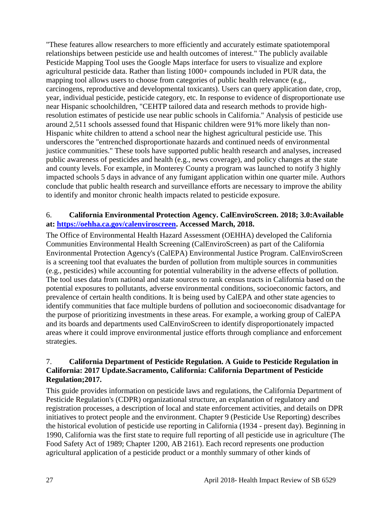"These features allow researchers to more efficiently and accurately estimate spatiotemporal relationships between pesticide use and health outcomes of interest." The publicly available Pesticide Mapping Tool uses the Google Maps interface for users to visualize and explore agricultural pesticide data. Rather than listing 1000+ compounds included in PUR data, the mapping tool allows users to choose from categories of public health relevance (e.g., carcinogens, reproductive and developmental toxicants). Users can query application date, crop, year, individual pesticide, pesticide category, etc. In response to evidence of disproportionate use near Hispanic schoolchildren, "CEHTP tailored data and research methods to provide highresolution estimates of pesticide use near public schools in California." Analysis of pesticide use around 2,511 schools assessed found that Hispanic children were 91% more likely than non-Hispanic white children to attend a school near the highest agricultural pesticide use. This underscores the "entrenched disproportionate hazards and continued needs of environmental justice communities." These tools have supported public health research and analyses, increased public awareness of pesticides and health (e.g., news coverage), and policy changes at the state and county levels. For example, in Monterey County a program was launched to notify 3 highly impacted schools 5 days in advance of any fumigant application within one quarter mile. Authors conclude that public health research and surveillance efforts are necessary to improve the ability to identify and monitor chronic health impacts related to pesticide exposure.

#### 6. **California Environmental Protection Agency. CalEnviroScreen. 2018; 3.0:Available at: [https://oehha.ca.gov/calenviroscreen.](https://oehha.ca.gov/calenviroscreen) Accessed March, 2018.**

The Office of Environmental Health Hazard Assessment (OEHHA) developed the California Communities Environmental Health Screening (CalEnviroScreen) as part of the California Environmental Protection Agency's (CalEPA) Environmental Justice Program. CalEnviroScreen is a screening tool that evaluates the burden of pollution from multiple sources in communities (e.g., pesticides) while accounting for potential vulnerability in the adverse effects of pollution. The tool uses data from national and state sources to rank census tracts in California based on the potential exposures to pollutants, adverse environmental conditions, socioeconomic factors, and prevalence of certain health conditions. It is being used by CalEPA and other state agencies to identify communities that face multiple burdens of pollution and socioeconomic disadvantage for the purpose of prioritizing investments in these areas. For example, a working group of CalEPA and its boards and departments used CalEnviroScreen to identify disproportionately impacted areas where it could improve environmental justice efforts through compliance and enforcement strategies.

#### 7. **California Department of Pesticide Regulation. A Guide to Pesticide Regulation in California: 2017 Update.Sacramento, California: California Department of Pesticide Regulation;2017.**

This guide provides information on pesticide laws and regulations, the California Department of Pesticide Regulation's (CDPR) organizational structure, an explanation of regulatory and registration processes, a description of local and state enforcement activities, and details on DPR initiatives to protect people and the environment. Chapter 9 (Pesticide Use Reporting) describes the historical evolution of pesticide use reporting in California (1934 - present day). Beginning in 1990, California was the first state to require full reporting of all pesticide use in agriculture (The Food Safety Act of 1989; Chapter 1200, AB 2161). Each record represents one production agricultural application of a pesticide product or a monthly summary of other kinds of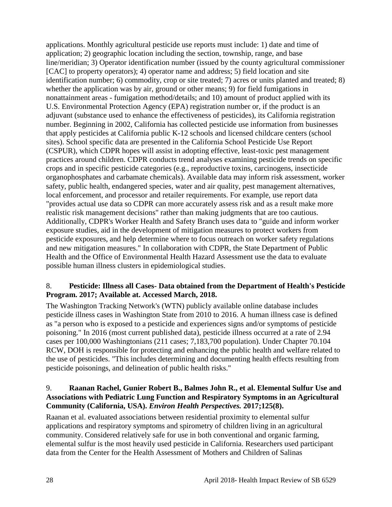applications. Monthly agricultural pesticide use reports must include: 1) date and time of application; 2) geographic location including the section, township, range, and base line/meridian; 3) Operator identification number (issued by the county agricultural commissioner [CAC] to property operators); 4) operator name and address; 5) field location and site identification number; 6) commodity, crop or site treated; 7) acres or units planted and treated; 8) whether the application was by air, ground or other means; 9) for field fumigations in nonattainment areas - fumigation method/details; and 10) amount of product applied with its U.S. Environmental Protection Agency (EPA) registration number or, if the product is an adjuvant (substance used to enhance the effectiveness of pesticides), its California registration number. Beginning in 2002, California has collected pesticide use information from businesses that apply pesticides at California public K-12 schools and licensed childcare centers (school sites). School specific data are presented in the California School Pesticide Use Report (CSPUR), which CDPR hopes will assist in adopting effective, least-toxic pest management practices around children. CDPR conducts trend analyses examining pesticide trends on specific crops and in specific pesticide categories (e.g., reproductive toxins, carcinogens, insecticide organophosphates and carbamate chemicals). Available data may inform risk assessment, worker safety, public health, endangered species, water and air quality, pest management alternatives, local enforcement, and processor and retailer requirements. For example, use report data "provides actual use data so CDPR can more accurately assess risk and as a result make more realistic risk management decisions" rather than making judgments that are too cautious. Additionally, CDPR's Worker Health and Safety Branch uses data to "guide and inform worker exposure studies, aid in the development of mitigation measures to protect workers from pesticide exposures, and help determine where to focus outreach on worker safety regulations and new mitigation measures." In collaboration with CDPR, the State Department of Public Health and the Office of Environmental Health Hazard Assessment use the data to evaluate possible human illness clusters in epidemiological studies.

#### 8. **Pesticide: Illness all Cases- Data obtained from the Department of Health's Pesticide Program. 2017; Available at. Accessed March, 2018.**

The Washington Tracking Network's (WTN) publicly available online database includes pesticide illness cases in Washington State from 2010 to 2016. A human illness case is defined as "a person who is exposed to a pesticide and experiences signs and/or symptoms of pesticide poisoning." In 2016 (most current published data), pesticide illness occurred at a rate of 2.94 cases per 100,000 Washingtonians (211 cases; 7,183,700 population). Under Chapter 70.104 RCW, DOH is responsible for protecting and enhancing the public health and welfare related to the use of pesticides. "This includes determining and documenting health effects resulting from pesticide poisonings, and delineation of public health risks."

#### 9. **Raanan Rachel, Gunier Robert B., Balmes John R., et al. Elemental Sulfur Use and Associations with Pediatric Lung Function and Respiratory Symptoms in an Agricultural Community (California, USA).** *Environ Health Perspectives.* **2017;125(8).**

Raanan et al. evaluated associations between residential proximity to elemental sulfur applications and respiratory symptoms and spirometry of children living in an agricultural community. Considered relatively safe for use in both conventional and organic farming, elemental sulfur is the most heavily used pesticide in California. Researchers used participant data from the Center for the Health Assessment of Mothers and Children of Salinas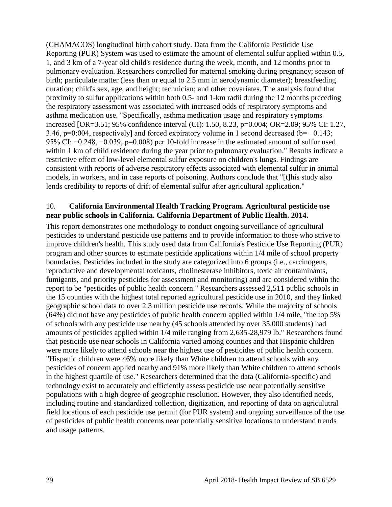(CHAMACOS) longitudinal birth cohort study. Data from the California Pesticide Use Reporting (PUR) System was used to estimate the amount of elemental sulfur applied within 0.5, 1, and 3 km of a 7-year old child's residence during the week, month, and 12 months prior to pulmonary evaluation. Researchers controlled for maternal smoking during pregnancy; season of birth; particulate matter (less than or equal to 2.5 mm in aerodynamic diameter); breastfeeding duration; child's sex, age, and height; technician; and other covariates. The analysis found that proximity to sulfur applications within both 0.5- and 1-km radii during the 12 months preceding the respiratory assessment was associated with increased odds of respiratory symptoms and asthma medication use. "Specifically, asthma medication usage and respiratory symptoms increased [OR=3.51; 95% confidence interval (CI): 1.50, 8.23, p=0.004; OR=2.09; 95% CI: 1.27, 3.46, p=0:004, respectively] and forced expiratory volume in 1 second decreased (b= −0.143; 95% CI: −0.248, −0.039, p=0.008) per 10-fold increase in the estimated amount of sulfur used within 1 km of child residence during the year prior to pulmonary evaluation." Results indicate a restrictive effect of low-level elemental sulfur exposure on children's lungs. Findings are consistent with reports of adverse respiratory effects associated with elemental sulfur in animal models, in workers, and in case reports of poisoning. Authors conclude that "[t]his study also lends credibility to reports of drift of elemental sulfur after agricultural application."

#### 10. **California Environmental Health Tracking Program. Agricultural pesticide use near public schools in California. California Department of Public Health. 2014.**

This report demonstrates one methodology to conduct ongoing surveillance of agricultural pesticides to understand pesticide use patterns and to provide information to those who strive to improve children's health. This study used data from California's Pesticide Use Reporting (PUR) program and other sources to estimate pesticide applications within 1/4 mile of school property boundaries. Pesticides included in the study are categorized into 6 groups (i.e., carcinogens, reproductive and developmental toxicants, cholinesterase inhibitors, toxic air contaminants, fumigants, and priority pesticides for assessment and monitoring) and are considered within the report to be "pesticides of public health concern." Researchers assessed 2,511 public schools in the 15 counties with the highest total reported agricultural pesticide use in 2010, and they linked geographic school data to over 2.3 million pesticide use records. While the majority of schools (64%) did not have any pesticides of public health concern applied within 1/4 mile, "the top 5% of schools with any pesticide use nearby (45 schools attended by over 35,000 students) had amounts of pesticides applied within 1/4 mile ranging from 2,635-28,979 lb." Researchers found that pesticide use near schools in California varied among counties and that Hispanic children were more likely to attend schools near the highest use of pesticides of public health concern. "Hispanic children were 46% more likely than White children to attend schools with any pesticides of concern applied nearby and 91% more likely than White children to attend schools in the highest quartile of use." Researchers determined that the data (California-specific) and technology exist to accurately and efficiently assess pesticide use near potentially sensitive populations with a high degree of geographic resolution. However, they also identified needs, including routine and standardized collection, digitization, and reporting of data on agriculutral field locations of each pesticide use permit (for PUR system) and ongoing surveillance of the use of pesticides of public health concerns near potentially sensitive locations to understand trends and usage patterns.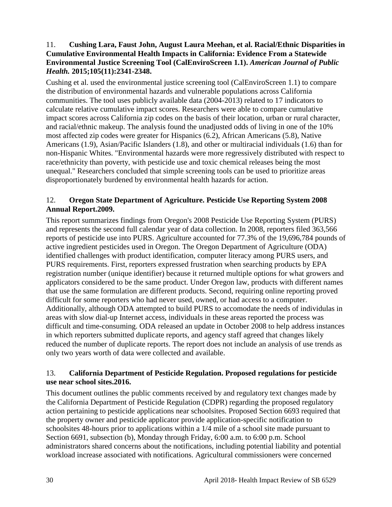#### 11. **Cushing Lara, Faust John, August Laura Meehan, et al. Racial/Ethnic Disparities in Cumulative Environmental Health Impacts in California: Evidence From a Statewide Environmental Justice Screening Tool (CalEnviroScreen 1.1).** *American Journal of Public Health.* **2015;105(11):2341-2348.**

Cushing et al. used the environmental justice screening tool (CalEnviroScreen 1.1) to compare the distribution of environmental hazards and vulnerable populations across California communities. The tool uses publicly available data (2004-2013) related to 17 indicators to calculate relative cumulative impact scores. Researchers were able to compare cumulative impact scores across California zip codes on the basis of their location, urban or rural character, and racial/ethnic makeup. The analysis found the unadjusted odds of living in one of the 10% most affected zip codes were greater for Hispanics (6.2), African Americans (5.8), Native Americans (1.9), Asian/Pacific Islanders (1.8), and other or multiracial individuals (1.6) than for non-Hispanic Whites. "Environmental hazards were more regressively distributed with respect to race/ethnicity than poverty, with pesticide use and toxic chemical releases being the most unequal." Researchers concluded that simple screening tools can be used to prioritize areas disproportionately burdened by environmental health hazards for action.

#### 12. **Oregon State Department of Agriculture. Pesticide Use Reporting System 2008 Annual Report.2009.**

This report summarizes findings from Oregon's 2008 Pesticide Use Reporting System (PURS) and represents the second full calendar year of data collection. In 2008, reporters filed 363,566 reports of pesticide use into PURS. Agriculture accounted for 77.3% of the 19,696,784 pounds of active ingredient pesticides used in Oregon. The Oregon Department of Agriculture (ODA) identified challenges with product identification, computer literacy among PURS users, and PURS requirements. First, reporters expressed frustration when searching products by EPA registration number (unique identifier) because it returned multiple options for what growers and applicators considered to be the same product. Under Oregon law, products with different names that use the same formulation are different products. Second, requiring online reporting proved difficult for some reporters who had never used, owned, or had access to a computer. Additionally, although ODA attempted to build PURS to accomodate the needs of individulas in areas with slow dial-up Internet access, individuals in these areas reported the process was difficult and time-consuming. ODA released an update in October 2008 to help address instances in which reporters submitted duplicate reports, and agency staff agreed that changes likely reduced the number of duplicate reports. The report does not include an analysis of use trends as only two years worth of data were collected and available.

#### 13. **California Department of Pesticide Regulation. Proposed regulations for pesticide use near school sites.2016.**

This document outlines the public comments received by and regulatory text changes made by the California Department of Pesticide Regulation (CDPR) regarding the proposed regulatory action pertaining to pesticide applications near schoolsites. Proposed Section 6693 required that the property owner and pesticide applicator provide application-specific notification to schoolsites 48-hours prior to applications within a 1/4 mile of a school site made pursuant to Section 6691, subsection (b), Monday through Friday, 6:00 a.m. to 6:00 p.m. School administrators shared concerns about the notifications, including potential liability and potential workload increase associated with notifications. Agricultural commissioners were concerned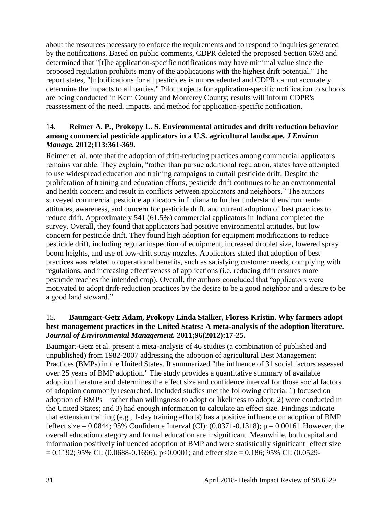about the resources necessary to enforce the requirements and to respond to inquiries generated by the notifications. Based on public comments, CDPR deleted the proposed Section 6693 and determined that "[t]he application-specific notifications may have minimal value since the proposed regulation prohibits many of the applications with the highest drift potential." The report states, "[n]otifications for all pesticides is unprecedented and CDPR cannot accurately determine the impacts to all parties." Pilot projects for application-specific notification to schools are being conducted in Kern County and Monterey County; results will inform CDPR's reassessment of the need, impacts, and method for application-specific notification.

#### 14. **Reimer A. P., Prokopy L. S. Environmental attitudes and drift reduction behavior among commercial pesticide applicators in a U.S. agricultural landscape.** *J Environ Manage.* **2012;113:361-369.**

Reimer et. al. note that the adoption of drift-reducing practices among commercial applicators remains variable. They explain, "rather than pursue additional regulation, states have attempted to use widespread education and training campaigns to curtail pesticide drift. Despite the proliferation of training and education efforts, pesticide drift continues to be an environmental and health concern and result in conflicts between applicators and neighbors." The authors surveyed commercial pesticide applicators in Indiana to further understand environmental attitudes, awareness, and concern for pesticide drift, and current adoption of best practices to reduce drift. Approximately 541 (61.5%) commercial applicators in Indiana completed the survey. Overall, they found that applicators had positive environmental attitudes, but low concern for pesticide drift. They found high adoption for equipment modifications to reduce pesticide drift, including regular inspection of equipment, increased droplet size, lowered spray boom heights, and use of low-drift spray nozzles. Applicators stated that adoption of best practices was related to operational benefits, such as satisfying customer needs, complying with regulations, and increasing effectiveness of applications (i.e. reducing drift ensures more pesticide reaches the intended crop). Overall, the authors concluded that "applicators were motivated to adopt drift-reduction practices by the desire to be a good neighbor and a desire to be a good land steward."

#### 15. **Baumgart-Getz Adam, Prokopy Linda Stalker, Floress Kristin. Why farmers adopt best management practices in the United States: A meta-analysis of the adoption literature.**  *Journal of Environmental Management.* **2011;96(2012):17-25.**

Baumgart-Getz et al. present a meta-analysis of 46 studies (a combination of published and unpublished) from 1982-2007 addressing the adoption of agricultural Best Management Practices (BMPs) in the United States. It summarized "the influence of 31 social factors assessed over 25 years of BMP adoption." The study provides a quantitative summary of available adoption literature and determines the effect size and confidence interval for those social factors of adoption commonly researched. Included studies met the following criteria: 1) focused on adoption of BMPs – rather than willingness to adopt or likeliness to adopt; 2) were conducted in the United States; and 3) had enough information to calculate an effect size. Findings indicate that extension training (e.g., 1-day training efforts) has a positive influence on adoption of BMP [effect size =  $0.0844$ ; 95% Confidence Interval (CI): (0.0371-0.1318); p = 0.0016]. However, the overall education category and formal education are insignificant. Meanwhile, both capital and information positively influenced adoption of BMP and were statistically significant [effect size  $= 0.1192$ ; 95% CI: (0.0688-0.1696); p<0.0001; and effect size  $= 0.186$ ; 95% CI: (0.0529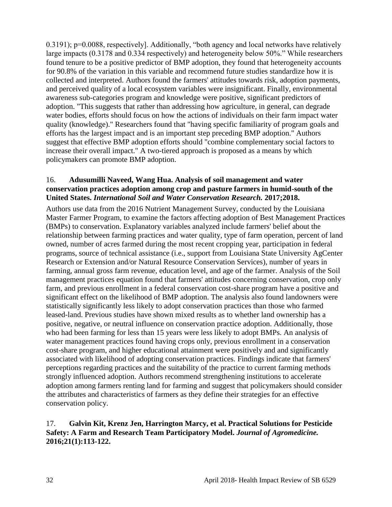0.3191); p=0.0088, respectively]. Additionally, "both agency and local networks have relatively large impacts (0.3178 and 0.334 respectively) and heterogeneity below 50%." While researchers found tenure to be a positive predictor of BMP adoption, they found that heterogeneity accounts for 90.8% of the variation in this variable and recommend future studies standardize how it is collected and interpreted. Authors found the farmers' attitudes towards risk, adoption payments, and perceived quality of a local ecosystem variables were insignificant. Finally, environmental awareness sub-categories program and knowledge were positive, significant predictors of adoption. "This suggests that rather than addressing how agriculture, in general, can degrade water bodies, efforts should focus on how the actions of individuals on their farm impact water quality (knowledge)." Researchers found that "having specific familiarity of program goals and efforts has the largest impact and is an important step preceding BMP adoption." Authors suggest that effective BMP adoption efforts should "combine complementary social factors to increase their overall impact." A two-tiered approach is proposed as a means by which policymakers can promote BMP adoption.

#### 16. **Adusumilli Naveed, Wang Hua. Analysis of soil management and water conservation practices adoption among crop and pasture farmers in humid-south of the United States.** *International Soil and Water Conservation Research.* **2017;2018.**

Authors use data from the 2016 Nutrient Management Survey, conducted by the Louisiana Master Farmer Program, to examine the factors affecting adoption of Best Management Practices (BMPs) to conservation. Explanatory variables analyzed include farmers' belief about the relationship between farming practices and water quality, type of farm operation, percent of land owned, number of acres farmed during the most recent cropping year, participation in federal programs, source of technical assistance (i.e., support from Louisiana State University AgCenter Research or Extension and/or Natural Resource Conservation Services), number of years in farming, annual gross farm revenue, education level, and age of the farmer. Analysis of the Soil management practices equation found that farmers' attitudes concerning conservation, crop only farm, and previous enrollment in a federal conservation cost-share program have a positive and significant effect on the likelihood of BMP adoption. The analysis also found landowners were statistically significantly less likely to adopt conservation practices than those who farmed leased-land. Previous studies have shown mixed results as to whether land ownership has a positive, negative, or neutral influence on conservation practice adoption. Additionally, those who had been farming for less than 15 years were less likely to adopt BMPs. An analysis of water management practices found having crops only, previous enrollment in a conservation cost-share program, and higher educational attainment were positively and and significantly associated with likelihood of adopting conservation practices. Findings indicate that farmers' perceptions regarding practices and the suitability of the practice to current farming methods strongly influenced adoption. Authors recommend strengthening institutions to accelerate adoption among farmers renting land for farming and suggest that policymakers should consider the attributes and characteristics of farmers as they define their strategies for an effective conservation policy.

#### 17. **Galvin Kit, Krenz Jen, Harrington Marcy, et al. Practical Solutions for Pesticide Safety: A Farm and Research Team Participatory Model.** *Journal of Agromedicine.*  **2016;21(1):113-122.**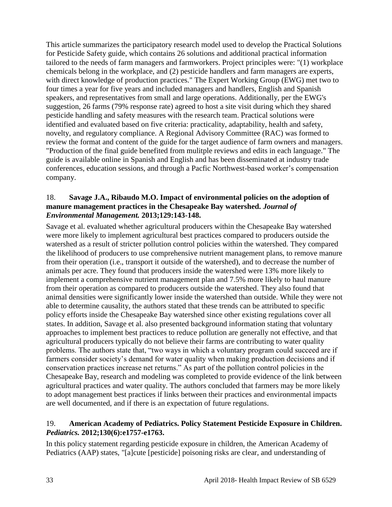This article summarizes the participatory research model used to develop the Practical Solutions for Pesticide Safety guide, which contains 26 solutions and additional practical information tailored to the needs of farm managers and farmworkers. Project principles were: "(1) workplace chemicals belong in the workplace, and (2) pesticide handlers and farm managers are experts, with direct knowledge of production practices." The Expert Working Group (EWG) met two to four times a year for five years and included managers and handlers, English and Spanish speakers, and representatives from small and large operations. Additionally, per the EWG's suggestion, 26 farms (79% response rate) agreed to host a site visit during which they shared pesticide handling and safety measures with the research team. Practical solutions were identified and evaluated based on five criteria: practicality, adaptability, health and safety, novelty, and regulatory compliance. A Regional Advisory Committee (RAC) was formed to review the format and content of the guide for the target audience of farm owners and managers. "Production of the final guide benefited from mulitple reviews and edits in each language." The guide is available online in Spanish and English and has been disseminated at industry trade conferences, education sessions, and through a Pacfic Northwest-based worker's compensation company.

#### 18. **Savage J.A., Ribaudo M.O. Impact of environmental policies on the adoption of manure management practices in the Chesapeake Bay watershed.** *Journal of Environmental Management.* **2013;129:143-148.**

Savage et al. evaluated whether agricultural producers within the Chesapeake Bay watershed were more likely to implement agricultural best practices compared to producers outside the watershed as a result of stricter pollution control policies within the watershed. They compared the likelihood of producers to use comprehensive nutrient management plans, to remove manure from their operation (i.e., transport it outside of the watershed), and to decrease the number of animals per acre. They found that producers inside the watershed were 13% more likely to implement a comprehensive nutrient management plan and 7.5% more likely to haul manure from their operation as compared to producers outside the watershed. They also found that animal densities were significantly lower inside the watershed than outside. While they were not able to determine causality, the authors stated that these trends can be attributed to specific policy efforts inside the Chesapeake Bay watershed since other existing regulations cover all states. In addition, Savage et al. also presented background information stating that voluntary approaches to implement best practices to reduce pollution are generally not effective, and that agricultural producers typically do not believe their farms are contributing to water quality problems. The authors state that, "two ways in which a voluntary program could succeed are if farmers consider society's demand for water quality when making production decisions and if conservation practices increase net returns." As part of the pollution control policies in the Chesapeake Bay, research and modeling was completed to provide evidence of the link between agricultural practices and water quality. The authors concluded that farmers may be more likely to adopt management best practices if links between their practices and environmental impacts are well documented, and if there is an expectation of future regulations.

#### 19. **American Academy of Pediatrics. Policy Statement Pesticide Exposure in Children.**  *Pediatrics.* **2012;130(6):e1757-e1763.**

In this policy statement regarding pesticide exposure in children, the American Academy of Pediatrics (AAP) states, "[a]cute [pesticide] poisoning risks are clear, and understanding of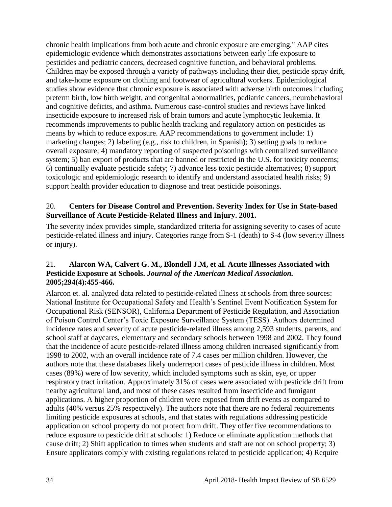chronic health implications from both acute and chronic exposure are emerging." AAP cites epidemiologic evidence which demonstrates associations between early life exposure to pesticides and pediatric cancers, decreased cognitive function, and behavioral problems. Children may be exposed through a variety of pathways including their diet, pesticide spray drift, and take-home exposure on clothing and footwear of agricultural workers. Epidemiological studies show evidence that chronic exposure is associated with adverse birth outcomes including preterm birth, low birth weight, and congenital abnormalities, pediatric cancers, neurobehavioral and cognitive deficits, and asthma. Numerous case-control studies and reviews have linked insecticide exposure to increased risk of brain tumors and acute lymphocytic leukemia. It recommends improvements to public health tracking and regulatory action on pesticides as means by which to reduce exposure. AAP recommendations to government include: 1) marketing changes; 2) labeling (e.g., risk to children, in Spanish); 3) setting goals to reduce overall exposure; 4) mandatory reporting of suspected poisonings with centralized surveillance system; 5) ban export of products that are banned or restricted in the U.S. for toxicity concerns; 6) continually evaluate pesticide safety; 7) advance less toxic pesticide alternatives; 8) support toxicologic and epidemiologic research to identify and understand associated health risks; 9) support health provider education to diagnose and treat pesticide poisonings.

#### 20. **Centers for Disease Control and Prevention. Severity Index for Use in State-based Surveillance of Acute Pesticide-Related Illness and Injury. 2001.**

The severity index provides simple, standardized criteria for assigning severity to cases of acute pesticide-related illness and injury. Categories range from S-1 (death) to S-4 (low severity illness or injury).

#### 21. **Alarcon WA, Calvert G. M., Blondell J.M, et al. Acute Illnesses Associated with Pesticide Exposure at Schools.** *Journal of the American Medical Association.*  **2005;294(4):455-466.**

Alarcon et. al. analyzed data related to pesticide-related illness at schools from three sources: National Institute for Occupational Safety and Health's Sentinel Event Notification System for Occupational Risk (SENSOR), California Department of Pesticide Regulation, and Association of Poison Control Center's Toxic Exposure Surveillance System (TESS). Authors determined incidence rates and severity of acute pesticide-related illness among 2,593 students, parents, and school staff at daycares, elementary and secondary schools between 1998 and 2002. They found that the incidence of acute pesticide-related illness among children increased significantly from 1998 to 2002, with an overall incidence rate of 7.4 cases per million children. However, the authors note that these databases likely underreport cases of pesticide illness in children. Most cases (89%) were of low severity, which included symptoms such as skin, eye, or upper respiratory tract irritation. Approximately 31% of cases were associated with pesticide drift from nearby agricultural land, and most of these cases resulted from insecticide and fumigant applications. A higher proportion of children were exposed from drift events as compared to adults (40% versus 25% respectively). The authors note that there are no federal requirements limiting pesticide exposures at schools, and that states with regulations addressing pesticide application on school property do not protect from drift. They offer five recommendations to reduce exposure to pesticide drift at schools: 1) Reduce or eliminate application methods that cause drift; 2) Shift application to times when students and staff are not on school property; 3) Ensure applicators comply with existing regulations related to pesticide application; 4) Require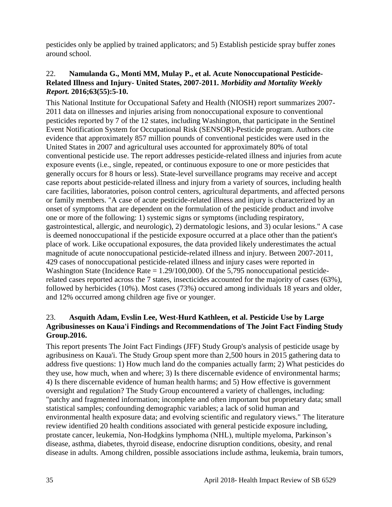pesticides only be applied by trained applicators; and 5) Establish pesticide spray buffer zones around school.

#### 22. **Namulanda G., Monti MM, Mulay P., et al. Acute Nonoccupational Pesticide-Related Illness and Injury- United States, 2007-2011.** *Morbidity and Mortality Weekly Report.* **2016;63(55):5-10.**

This National Institute for Occupational Safety and Health (NIOSH) report summarizes 2007- 2011 data on illnesses and injuries arising from nonoccupational exposure to conventional pesticides reported by 7 of the 12 states, including Washington, that participate in the Sentinel Event Notification System for Occupational Risk (SENSOR)-Pesticide program. Authors cite evidence that approximately 857 million pounds of conventional pesticides were used in the United States in 2007 and agricultural uses accounted for approximately 80% of total conventional pesticide use. The report addresses pesticide-related illness and injuries from acute exposure events (i.e., single, repeated, or continuous exposure to one or more pesticides that generally occurs for 8 hours or less). State-level surveillance programs may receive and accept case reports about pesticide-related illness and injury from a variety of sources, including health care facilities, laboratories, poison control centers, agricultural departments, and affected persons or family members. "A case of acute pesticide-related illness and injury is characterized by an onset of symptoms that are dependent on the formulation of the pesticide product and involve one or more of the following: 1) systemic signs or symptoms (including respiratory, gastrointestical, allergic, and neurologic), 2) dermatologic lesions, and 3) ocular lesions." A case is deemed nonoccupational if the pesticide exposure occurred at a place other than the patient's place of work. Like occupational exposures, the data provided likely underestimates the actual magnitude of acute nonoccupational pesticide-related illness and injury. Between 2007-2011, 429 cases of nonoccupational pesticide-related illness and injury cases were reported in Washington State (Incidence Rate = 1.29/100,000). Of the 5,795 nonoccupational pesticiderelated cases reported across the 7 states, insecticides accounted for the majority of cases (63%), followed by herbicides (10%). Most cases (73%) occured among individuals 18 years and older, and 12% occurred among children age five or younger.

#### 23. **Asquith Adam, Evslin Lee, West-Hurd Kathleen, et al. Pesticide Use by Large Agribusinesses on Kaua'i Findings and Recommendations of The Joint Fact Finding Study Group.2016.**

This report presents The Joint Fact Findings (JFF) Study Group's analysis of pesticide usage by agribusiness on Kaua'i. The Study Group spent more than 2,500 hours in 2015 gathering data to address five questions: 1) How much land do the companies actually farm; 2) What pesticides do they use, how much, when and where; 3) Is there discernable evidence of environmental harms; 4) Is there discernable evidence of human health harms; and 5) How effective is government oversight and regulation? The Study Group encountered a variety of challenges, including: "patchy and fragmented information; incomplete and often important but proprietary data; small statistical samples; confounding demographic variables; a lack of solid human and environmental health exposure data; and evolving scientific and regulatory views." The literature review identified 20 health conditions associated with general pesticide exposure including, prostate cancer, leukemia, Non-Hodgkins lymphoma (NHL), multiple myeloma, Parkinson's disease, asthma, diabetes, thyroid disease, endocrine disruption conditions, obesity, and renal disease in adults. Among children, possible associations include asthma, leukemia, brain tumors,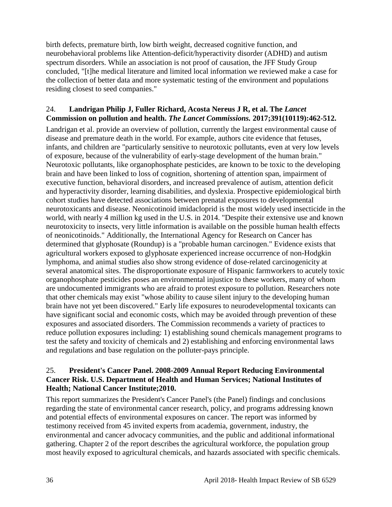birth defects, premature birth, low birth weight, decreased cognitive function, and neurobehavioral problems like Attention-deficit/hyperactivity disorder (ADHD) and autism spectrum disorders. While an association is not proof of causation, the JFF Study Group concluded, "[t]he medical literature and limited local information we reviewed make a case for the collection of better data and more systematic testing of the environment and populations residing closest to seed companies."

#### 24. **Landrigan Philip J, Fuller Richard, Acosta Nereus J R, et al. The** *Lancet*  **Commission on pollution and health.** *The Lancet Commissions.* **2017;391(10119):462-512.**

Landrigan et al. provide an overview of pollution, currently the largest environmental cause of disease and premature death in the world. For example, authors cite evidence that fetuses, infants, and children are "particularly sensitive to neurotoxic pollutants, even at very low levels of exposure, because of the vulnerability of early-stage development of the human brain." Neurotoxic pollutants, like organophosphate pesticides, are known to be toxic to the developing brain and have been linked to loss of cognition, shortening of attention span, impairment of executive function, behavioral disorders, and increased prevalence of autism, attention deficit and hyperactivity disorder, learning disabilities, and dyslexia. Prospective epidemiological birth cohort studies have detected associations between prenatal exposures to developmental neurotoxicants and disease. Neonicotinoid imidacloprid is the most widely used insecticide in the world, with nearly 4 million kg used in the U.S. in 2014. "Despite their extensive use and known neurotoxicity to insects, very little information is available on the possible human health effects of neonicotinoids." Additionally, the International Agency for Research on Cancer has determined that glyphosate (Roundup) is a "probable human carcinogen." Evidence exists that agricultural workers exposed to glyphosate experienced increase occurrence of non-Hodgkin lymphoma, and animal studies also show strong evidence of dose-related carcinogenicity at several anatomical sites. The disproportionate exposure of Hispanic farmworkers to acutely toxic organophosphate pesticides poses an environmental injustice to these workers, many of whom are undocumented immigrants who are afraid to protest exposure to pollution. Researchers note that other chemicals may exist "whose ability to cause silent injury to the developing human brain have not yet been discovered." Early life exposures to neurodevelopmental toxicants can have significant social and economic costs, which may be avoided through prevention of these exposures and associated disorders. The Commission recommends a variety of practices to reduce pollution exposures including: 1) establishing sound chemicals management programs to test the safety and toxicity of chemicals and 2) establishing and enforcing environmental laws and regulations and base regulation on the polluter-pays principle.

#### 25. **President's Cancer Panel. 2008-2009 Annual Report Reducing Environmental Cancer Risk. U.S. Department of Health and Human Services; National Institutes of Health; National Cancer Institute;2010.**

This report summarizes the President's Cancer Panel's (the Panel) findings and conclusions regarding the state of environmental cancer research, policy, and programs addressing known and potential effects of environmental exposures on cancer. The report was informed by testimony received from 45 invited experts from academia, government, industry, the environmental and cancer advocacy communities, and the public and additional informational gathering. Chapter 2 of the report describes the agricultural workforce, the population group most heavily exposed to agricultural chemicals, and hazards associated with specific chemicals.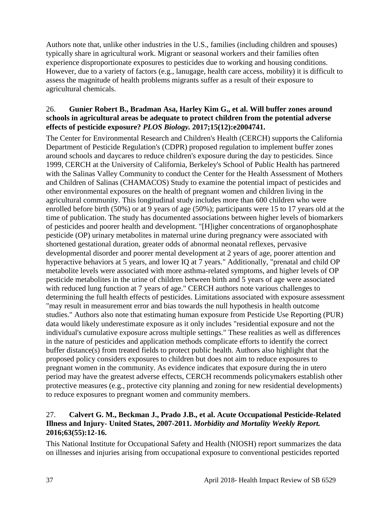Authors note that, unlike other industries in the U.S., families (including children and spouses) typically share in agricultural work. Migrant or seasonal workers and their families often experience disproportionate exposures to pesticides due to working and housing conditions. However, due to a variety of factors (e.g., lanugage, health care access, mobility) it is difficult to assess the magnitude of health problems migrants suffer as a result of their exposure to agricultural chemicals.

#### 26. **Gunier Robert B., Bradman Asa, Harley Kim G., et al. Will buffer zones around schools in agricultural areas be adequate to protect children from the potential adverse effects of pesticide exposure?** *PLOS Biology.* **2017;15(12):e2004741.**

The Center for Environmental Research and Children's Health (CERCH) supports the California Department of Pesticide Regulation's (CDPR) proposed regulation to implement buffer zones around schools and daycares to reduce children's exposure during the day to pesticides. Since 1999, CERCH at the University of California, Berkeley's School of Public Health has partnered with the Salinas Valley Community to conduct the Center for the Health Assessment of Mothers and Children of Salinas (CHAMACOS) Study to examine the potential impact of pesticides and other environmental exposures on the health of pregnant women and children living in the agricultural community. This longitudinal study includes more than 600 children who were enrolled before birth (50%) or at 9 years of age (50%); participants were 15 to 17 years old at the time of publication. The study has documented associations between higher levels of biomarkers of pesticides and poorer health and development. "[H]igher concentrations of organophosphate pesticide (OP) urinary metabolites in maternal urine during pregnancy were associated with shortened gestational duration, greater odds of abnormal neonatal reflexes, pervasive developmental disorder and poorer mental development at 2 years of age, poorer attention and hyperactive behaviors at 5 years, and lower IQ at 7 years." Additionally, "prenatal and child OP metabolite levels were associated with more asthma-related symptoms, and higher levels of OP pesticide metabolites in the urine of children between birth and 5 years of age were associated with reduced lung function at 7 years of age." CERCH authors note various challenges to determining the full health effects of pesticides. Limitations associated with exposure assessment "may result in measurement error and bias towards the null hypothesis in health outcome studies." Authors also note that estimating human exposure from Pesticide Use Reporting (PUR) data would likely underestimate exposure as it only includes "residential exposure and not the individual's cumulative exposure across multiple settings." These realities as well as differences in the nature of pesticides and application methods complicate efforts to identify the correct buffer distance(s) from treated fields to protect public health. Authors also highlight that the proposed policy considers exposures to children but does not aim to reduce exposures to pregnant women in the community. As evidence indicates that exposure during the in utero period may have the greatest adverse effects, CERCH recommends policymakers establish other protective measures (e.g., protective city planning and zoning for new residential developments) to reduce exposures to pregnant women and community members.

#### 27. **Calvert G. M., Beckman J., Prado J.B., et al. Acute Occupational Pesticide-Related Illness and Injury- United States, 2007-2011.** *Morbidity and Mortality Weekly Report.*  **2016;63(55):12-16.**

This National Institute for Occupational Safety and Health (NIOSH) report summarizes the data on illnesses and injuries arising from occupational exposure to conventional pesticides reported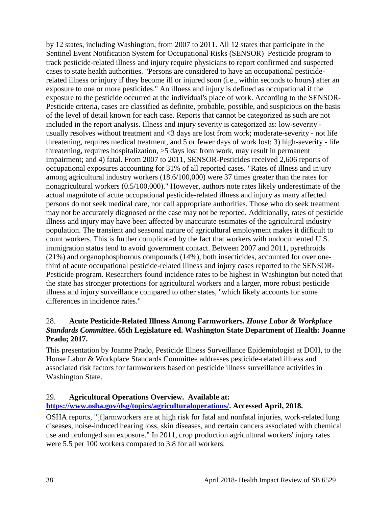by 12 states, including Washington, from 2007 to 2011. All 12 states that participate in the Sentinel Event Notification System for Occupational Risks (SENSOR)–Pesticide program to track pesticide-related illness and injury require physicians to report confirmed and suspected cases to state health authorities. "Persons are considered to have an occupational pesticiderelated illness or injury if they become ill or injured soon (i.e., within seconds to hours) after an exposure to one or more pesticides." An illness and injury is defined as occupational if the exposure to the pesticide occurred at the individual's place of work. According to the SENSOR-Pesticide criteria, cases are classified as definite, probable, possible, and suspicious on the basis of the level of detail known for each case. Reports that cannot be categorized as such are not included in the report analysis. Illness and injury severity is categorized as: low-severity usually resolves without treatment and <3 days are lost from work; moderate-severity - not life threatening, requires medical treatment, and 5 or fewer days of work lost; 3) high-severity - life threatening, requires hospitalization, >5 days lost from work, may result in permanent impairment; and 4) fatal. From 2007 to 2011, SENSOR-Pesticides received 2,606 reports of occupational exposures accounting for 31% of all reported cases. "Rates of illness and injury among agricultural industry workers (18.6/100,000) were 37 times greater than the rates for nonagricultural workers (0.5/100,000)." However, authors note rates likely underestimate of the actual magnitute of acute occupational pesticide-related illness and injury as many affected persons do not seek medical care, nor call appropriate authorities. Those who do seek treatment may not be accurately diagnosed or the case may not be reported. Additionally, rates of pesticide illness and injury may have been affected by inaccurate estimates of the agricultural industry population. The transient and seasonal nature of agricultural employment makes it difficult to count workers. This is further complicated by the fact that workers with undocumented U.S. immigration status tend to avoid government contact. Between 2007 and 2011, pyrethroids (21%) and organophosphorous compounds (14%), both insecticides, accounted for over onethird of acute occupational pesticide-related illness and injury cases reported to the SENSOR-Pesticide program. Researchers found incidence rates to be highest in Washington but noted that the state has stronger protections for agricultural workers and a larger, more robust pesticide illness and injury surveillance compared to other states, "which likely accounts for some differences in incidence rates."

#### 28. **Acute Pesticide-Related Illness Among Farmworkers.** *House Labor & Workplace Standards Committee***. 65th Legislature ed. Washington State Department of Health: Joanne Prado; 2017.**

This presentation by Joanne Prado, Pesticide Illness Surveillance Epidemiologist at DOH, to the House Labor & Workplace Standards Committee addresses pesticide-related illness and associated risk factors for farmworkers based on pesticide illness surveillance activities in Washington State.

#### 29. **Agricultural Operations Overview. Available at:**

#### **[https://www.osha.gov/dsg/topics/agriculturaloperations/.](https://www.osha.gov/dsg/topics/agriculturaloperations/) Accessed April, 2018.**

OSHA reports, "[f]armworkers are at high risk for fatal and nonfatal injuries, work-related lung diseases, noise-induced hearing loss, skin diseases, and certain cancers associated with chemical use and prolonged sun exposure." In 2011, crop production agricultural workers' injury rates were 5.5 per 100 workers compared to 3.8 for all workers.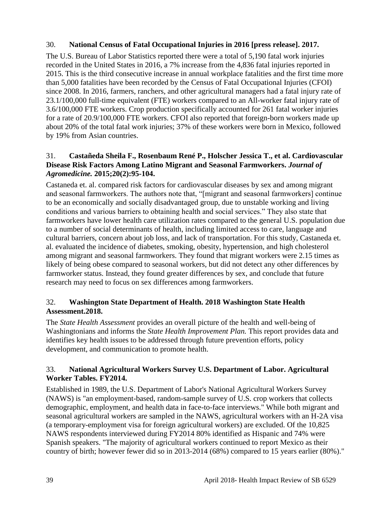#### 30. **National Census of Fatal Occupational Injuries in 2016 [press release]. 2017.**

The U.S. Bureau of Labor Statistics reported there were a total of 5,190 fatal work injuries recorded in the United States in 2016, a 7% increase from the 4,836 fatal injuries reported in 2015. This is the third consecutive increase in annual workplace fatalities and the first time more than 5,000 fatalities have been recorded by the Census of Fatal Occupational Injuries (CFOI) since 2008. In 2016, farmers, ranchers, and other agricultural managers had a fatal injury rate of 23.1/100,000 full-time equivalent (FTE) workers compared to an All-worker fatal injury rate of 3.6/100,000 FTE workers. Crop production specifically accounted for 261 fatal worker injuries for a rate of 20.9/100,000 FTE workers. CFOI also reported that foreign-born workers made up about 20% of the total fatal work injuries; 37% of these workers were born in Mexico, followed by 19% from Asian countries.

#### 31. **Castañeda Sheila F., Rosenbaum René P., Holscher Jessica T., et al. Cardiovascular Disease Risk Factors Among Latino Migrant and Seasonal Farmworkers.** *Journal of Agromedicine.* **2015;20(2):95-104.**

Castaneda et. al. compared risk factors for cardiovascular diseases by sex and among migrant and seasonal farmworkers. The authors note that, "[migrant and seasonal farmworkers] continue to be an economically and socially disadvantaged group, due to unstable working and living conditions and various barriers to obtaining health and social services." They also state that farmworkers have lower health care utilization rates compared to the general U.S. population due to a number of social determinants of health, including limited access to care, language and cultural barriers, concern about job loss, and lack of transportation. For this study, Castaneda et. al. evaluated the incidence of diabetes, smoking, obesity, hypertension, and high cholesterol among migrant and seasonal farmworkers. They found that migrant workers were 2.15 times as likely of being obese compared to seasonal workers, but did not detect any other differences by farmworker status. Instead, they found greater differences by sex, and conclude that future research may need to focus on sex differences among farmworkers.

#### 32. **Washington State Department of Health. 2018 Washington State Health Assessment.2018.**

The *State Health Assessment* provides an overall picture of the health and well-being of Washingtonians and informs the *State Health Improvement Plan.* This report provides data and identifies key health issues to be addressed through future prevention efforts, policy development, and communication to promote health.

#### 33. **National Agricultural Workers Survey U.S. Department of Labor. Agricultural Worker Tables. FY2014.**

Established in 1989, the U.S. Department of Labor's National Agricultural Workers Survey (NAWS) is "an employment-based, random-sample survey of U.S. crop workers that collects demographic, employment, and health data in face-to-face interviews." While both migrant and seasonal agricultural workers are sampled in the NAWS, agricultural workers with an H-2A visa (a temporary-employment visa for foreign agricultural workers) are excluded. Of the 10,825 NAWS respondents interviewed during FY2014 80% identified as Hispanic and 74% were Spanish speakers. "The majority of agricultural workers continued to report Mexico as their country of birth; however fewer did so in 2013-2014 (68%) compared to 15 years earlier (80%)."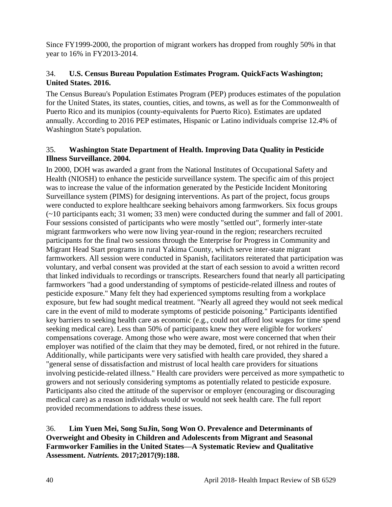Since FY1999-2000, the proportion of migrant workers has dropped from roughly 50% in that year to 16% in FY2013-2014.

## 34. **U.S. Census Bureau Population Estimates Program. QuickFacts Washington; United States. 2016.**

The Census Bureau's Population Estimates Program (PEP) produces estimates of the population for the United States, its states, counties, cities, and towns, as well as for the Commonwealth of Puerto Rico and its munipios (county-equivalents for Puerto Rico). Estimates are updated annually. According to 2016 PEP estimates, Hispanic or Latino individuals comprise 12.4% of Washington State's population.

#### 35. **Washington State Department of Health. Improving Data Quality in Pesticide Illness Surveillance. 2004.**

In 2000, DOH was awarded a grant from the National Institutes of Occupational Safety and Health (NIOSH) to enhance the pesticide surveillance system. The specific aim of this project was to increase the value of the information generated by the Pesticide Incident Monitoring Surveillance system (PIMS) for designing interventions. As part of the project, focus groups were conducted to explore healthcare seeking behaivors among farmworkers. Six focus groups (~10 participants each; 31 women; 33 men) were conducted during the summer and fall of 2001. Four sessions consisted of participants who were mostly "settled out", formerly inter-state migrant farmworkers who were now living year-round in the region; researchers recruited participants for the final two sessions through the Enterprise for Progress in Community and Migrant Head Start programs in rural Yakima County, which serve inter-state migrant farmworkers. All session were conducted in Spanish, facilitators reiterated that participation was voluntary, and verbal consent was provided at the start of each session to avoid a written record that linked individuals to recordings or transcripts. Researchers found that nearly all participating farmworkers "had a good understanding of symptoms of pesticide-related illness and routes of pesticide exposure." Many felt they had experienced symptoms resulting from a workplace exposure, but few had sought medical treatment. "Nearly all agreed they would not seek medical care in the event of mild to moderate symptoms of pesticide poisoning." Participants identified key barriers to seeking health care as economic (e.g., could not afford lost wages for time spend seeking medical care). Less than 50% of participants knew they were eligible for workers' compensations coverage. Among those who were aware, most were concerned that when their employer was notified of the claim that they may be demoted, fired, or not rehired in the future. Additionally, while participants were very satisfied with health care provided, they shared a "general sense of dissatisfaction and mistrust of local health care providers for situations involving pesticide-related illness." Health care providers were perceived as more sympathetic to growers and not seriously considering symptoms as potentially related to pesticide exposure. Participants also cited the attitude of the supervisor or employer (encouraging or discouraging medical care) as a reason individuals would or would not seek health care. The full report provided recommendations to address these issues.

#### 36. **Lim Yuen Mei, Song SuJin, Song Won O. Prevalence and Determinants of Overweight and Obesity in Children and Adolescents from Migrant and Seasonal Farmworker Families in the United States—A Systematic Review and Qualitative Assessment.** *Nutrients.* **2017;2017(9):188.**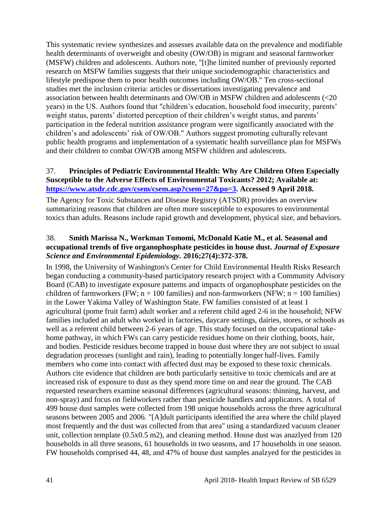This systematic review synthesizes and assesses available data on the prevalence and modifiable health determinants of overweight and obesity (OW/OB) in migrant and seasonal farmworker (MSFW) children and adolescents. Authors note, "[t]he limited number of previously reported research on MSFW families suggests that their unique sociodemographic characteristics and lifestyle predispose them to poor health outcomes including OW/OB." Ten cross-sectional studies met the inclusion criteria: articles or dissertations investigating prevalence and association between health determinants and OW/OB in MSFW children and adolescents (<20 years) in the US. Authors found that "children's education, household food insecurity, parents' weight status, parents' distorted perception of their children's weight status, and parents' participation in the federal nutrition assistance program were significantly associated with the children's and adolescents' risk of OW/OB." Authors suggest promoting culturally relevant public health programs and implementation of a systematic health surveillance plan for MSFWs and their children to combat OW/OB among MSFW children and adolescents.

#### 37. **Principles of Pediatric Environmental Health: Why Are Children Often Especially Susceptible to the Adverse Effects of Environmental Toxicants? 2012; Available at: [https://www.atsdr.cdc.gov/csem/csem.asp?csem=27&po=3.](https://www.atsdr.cdc.gov/csem/csem.asp?csem=27&po=3) Accessed 9 April 2018.**

The Agency for Toxic Substances and Disease Registry (ATSDR) provides an overview summarizing reasons that children are often more susceptible to exposures to environmental toxics than adults. Reasons include rapid growth and development, physical size, and behaviors.

#### 38. **Smith Marissa N., Workman Tomomi, McDonald Katie M., et al. Seasonal and occupational trends of five organophosphate pesticides in house dust.** *Journal of Exposure Science and Environmental Epidemiology.* **2016;27(4):372-378.**

In 1998, the University of Washington's Center for Child Environmental Health Risks Research began conducting a community-based participatory research project with a Community Advisory Board (CAB) to investigate exposure patterns and impacts of organophosphate pesticides on the children of farmworkers (FW;  $n = 100$  families) and non-farmworkers (NFW;  $n = 100$  families) in the Lower Yakima Valley of Washington State. FW families consisted of at least 1 agricultural (pome fruit farm) adult worker and a referent child aged 2-6 in the household; NFW families included an adult who worked in factories, daycare settings, dairies, stores, or schools as well as a referent child between 2-6 years of age. This study focused on the occupational takehome pathway, in which FWs can carry pesticide residues home on their clothing, boots, hair, and bodies. Pesticide residues become trapped in house dust where they are not subject to usual degradation processes (sunlight and rain), leading to potentially longer half-lives. Family members who come into contact with affected dust may be exposed to these toxic chemicals. Authors cite evidence that children are both particularly sensitive to toxic chemicals and are at increased risk of exposure to dust as they spend more time on and near the ground. The CAB requested researchers examine seasonal differences (agricultural seasons: thinning, harvest, and non-spray) and focus on fieldworkers rather than pesticide handlers and applicators. A total of 499 house dust samples were collected from 198 unique households across the three agricultural seasons between 2005 and 2006. "[A]dult participants identified the area where the child played most frequently and the dust was collected from that area" using a standardized vacuum cleaner unit, collection template (0.5x0.5 m2), and cleaning method. House dust was anazlyed from 120 households in all three seasons, 61 households in two seasons, and 17 households in one season. FW households comprised 44, 48, and 47% of house dust samples analzyed for the pesticides in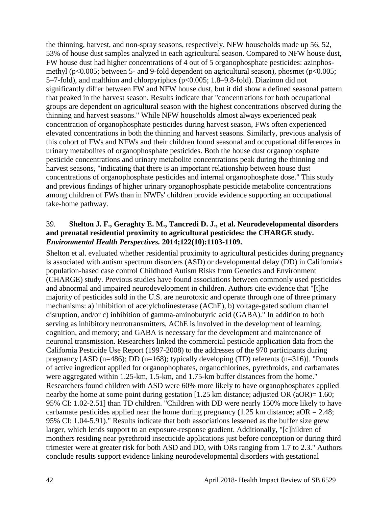the thinning, harvest, and non-spray seasons, respectively. NFW households made up 56, 52, 53% of house dust samples analyzed in each agricultural season. Compared to NFW house dust, FW house dust had higher concentrations of 4 out of 5 organophosphate pesticides: azinphosmethyl (p<0.005; between 5- and 9-fold dependent on agricultural season), phosmet (p<0.005; 5–7-fold), and malthion and chlorpyriphos (p<0.005; 1.8–9.8-fold). Diazinon did not significantly differ between FW and NFW house dust, but it did show a defined seasonal pattern that peaked in the harvest season. Results indicate that "concentrations for both occupational groups are dependent on agricultural season with the highest concentrations observed during the thinning and harvest seasons." While NFW households almost always experienced peak concentration of organophosphate pesticides during harvest season, FWs often experienced elevated concentrations in both the thinning and harvest seasons. Similarly, previous analysis of this cohort of FWs and NFWs and their children found seasonal and occupational differences in urinary metabolites of organophosphate pesticides. Both the house dust organophosphate pesticide concentrations and urinary metabolite concentrations peak during the thinning and harvest seasons, "indicating that there is an important relationship between house dust concentrations of organophosphate pesticides and internal organophosphate dose." This study and previous findings of higher urinary organophosphate pesticide metabolite concentrations among children of FWs than in NWFs' children provide evidence supporting an occupational take-home pathway.

#### 39. **Shelton J. F., Geraghty E. M., Tancredi D. J., et al. Neurodevelopmental disorders and prenatal residential proximity to agricultural pesticides: the CHARGE study.**  *Environmental Health Perspectives.* **2014;122(10):1103-1109.**

Shelton et al. evaluated whether residential proximity to agricultural pesticides during pregnancy is associated with autism spectrum disorders (ASD) or developmental delay (DD) in California's population-based case control Childhood Autism Risks from Genetics and Environment (CHARGE) study. Previous studies have found associations between commonly used pesticides and abnormal and impaired neurodevelopment in children. Authors cite evidence that "[t]he majority of pesticides sold in the U.S. are neurotoxic and operate through one of three primary mechanisms: a) inhibition of acetylcholinesterase (AChE), b) voltage-gated sodium channel disruption, and/or c) inhibition of gamma-aminobutyric acid (GABA)." In addition to both serving as inhibitory neurotransmitters, AChE is involved in the development of learning, cognition, and memory; and GABA is necessary for the development and maintenance of neuronal transmission. Researchers linked the commercial pesticide application data from the California Pesticide Use Report (1997-2008) to the addresses of the 970 participants during pregnancy [ASD (n=486); DD (n=168); typically developing (TD) referents (n=316)]. "Pounds of active ingredient applied for organophophates, organochlorines, pyrethroids, and carbamates were aggregated within 1.25-km, 1.5-km, and 1.75-km buffer distances from the home." Researchers found children with ASD were 60% more likely to have organophosphates applied nearby the home at some point during gestation [1.25 km distance; adjusted OR (aOR)= 1.60; 95% CI: 1.02-2.51] than TD children. "Children with DD were nearly 150% more likely to have carbamate pesticides applied near the home during pregnancy (1.25 km distance;  $aOR = 2.48$ ; 95% CI: 1.04-5.91)." Results indicate that both associations lessened as the buffer size grew larger, which lends support to an exposure-response gradient. Additionally, "[c]hildren of monthers residing near pyrethroid insecticide applications just before conception or during third trimester were at greater risk for both ASD and DD, with ORs ranging from 1.7 to 2.3." Authors conclude results support evidence linking neurodevelopmental disorders with gestational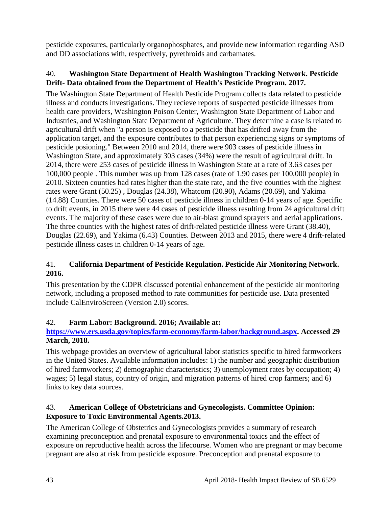pesticide exposures, particularly organophosphates, and provide new information regarding ASD and DD associations with, respectively, pyrethroids and carbamates.

### 40. **Washington State Department of Health Washington Tracking Network. Pesticide Drift- Data obtained from the Department of Health's Pesticide Program. 2017.**

The Washington State Department of Health Pesticide Program collects data related to pesticide illness and conducts investigations. They recieve reports of suspected pesticide illnesses from health care providers, Washington Poison Center, Washington State Department of Labor and Industries, and Washington State Department of Agriculture. They determine a case is related to agricultural drift when "a person is exposed to a pesticide that has drifted away from the application target, and the exposure contributes to that person experiencing signs or symptoms of pesticide posioning." Between 2010 and 2014, there were 903 cases of pesticide illness in Washington State, and approximately 303 cases (34%) were the result of agricultural drift. In 2014, there were 253 cases of pesticide illness in Washington State at a rate of 3.63 cases per 100,000 people . This number was up from 128 cases (rate of 1.90 cases per 100,000 people) in 2010. Sixteen counties had rates higher than the state rate, and the five counties with the highest rates were Grant (50.25) , Douglas (24.38), Whatcom (20.90), Adams (20.69), and Yakima (14.88) Counties. There were 50 cases of pesticide illness in children 0-14 years of age. Specific to drift events, in 2015 there were 44 cases of pesticide illness resulting from 24 agricultural drift events. The majority of these cases were due to air-blast ground sprayers and aerial applications. The three counties with the highest rates of drift-related pesticide illness were Grant (38.40), Douglas (22.69), and Yakima (6.43) Counties. Between 2013 and 2015, there were 4 drift-related pesticide illness cases in children 0-14 years of age.

## 41. **California Department of Pesticide Regulation. Pesticide Air Monitoring Network. 2016.**

This presentation by the CDPR discussed potential enhancement of the pesticide air monitoring network, including a proposed method to rate communities for pesticide use. Data presented include CalEnviroScreen (Version 2.0) scores.

## 42. **Farm Labor: Background. 2016; Available at:**

#### **[https://www.ers.usda.gov/topics/farm-economy/farm-labor/background.aspx.](https://www.ers.usda.gov/topics/farm-economy/farm-labor/background.aspx) Accessed 29 March, 2018.**

This webpage provides an overview of agricultural labor statistics specific to hired farmworkers in the United States. Available information includes: 1) the number and geographic distribution of hired farmworkers; 2) demographic characteristics; 3) unemployment rates by occupation; 4) wages; 5) legal status, country of origin, and migration patterns of hired crop farmers; and 6) links to key data sources.

#### 43. **American College of Obstetricians and Gynecologists. Committee Opinion: Exposure to Toxic Environmental Agents.2013.**

The American College of Obstetrics and Gynecologists provides a summary of research examining preconception and prenatal exposure to environmental toxics and the effect of exposure on reproductive health across the lifecourse. Women who are pregnant or may become pregnant are also at risk from pesticide exposure. Preconception and prenatal exposure to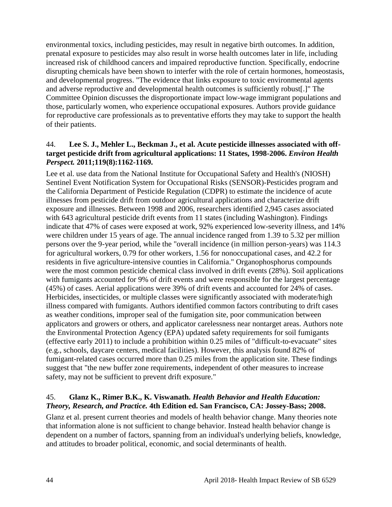environmental toxics, including pesticides, may result in negative birth outcomes. In addition, prenatal exposure to pesticides may also result in worse health outcomes later in life, including increased risk of childhood cancers and impaired reproductive function. Specifically, endocrine disrupting chemicals have been shown to interfer with the role of certain hormones, homeostasis, and developmental progress. "The evidence that links exposure to toxic environmental agents and adverse reproductive and developmental health outcomes is sufficiently robust[.]" The Committee Opinion discusses the disproportionate impact low-wage immigrant populations and those, particularly women, who experience occupational exposures. Authors provide guidance for reproductive care professionals as to preventative efforts they may take to support the health of their patients.

#### 44. **Lee S. J., Mehler L., Beckman J., et al. Acute pesticide illnesses associated with offtarget pesticide drift from agricultural applications: 11 States, 1998-2006.** *Environ Health Perspect.* **2011;119(8):1162-1169.**

Lee et al. use data from the National Institute for Occupational Safety and Health's (NIOSH) Sentinel Event Notification System for Occupational Risks (SENSOR)-Pesticides program and the California Department of Pesticide Regulation (CDPR) to estimate the incidence of acute illnesses from pesticide drift from outdoor agricultural applications and characterize drift exposure and illnesses. Between 1998 and 2006, researchers identified 2,945 cases associated with 643 agricultural pesticide drift events from 11 states (including Washington). Findings indicate that 47% of cases were exposed at work, 92% experienced low-severity illness, and 14% were children under 15 years of age. The annual incidence ranged from 1.39 to 5.32 per million persons over the 9-year period, while the "overall incidence (in million person-years) was 114.3 for agricultural workers, 0.79 for other workers, 1.56 for nonoccupational cases, and 42.2 for residents in five agriculture-intensive counties in California." Organophosphorus compounds were the most common pesticide chemical class involved in drift events (28%). Soil applications with fumigants accounted for 9% of drift events and were responsible for the largest percentage (45%) of cases. Aerial applications were 39% of drift events and accounted for 24% of cases. Herbicides, insecticides, or multiple classes were significantly associated with moderate/high illness compared with fumigants. Authors identified common factors contributing to drift cases as weather conditions, improper seal of the fumigation site, poor communication between applicators and growers or others, and applicator carelessness near nontarget areas. Authors note the Environmental Protection Agency (EPA) updated safety requirements for soil fumigants (effective early 2011) to include a prohibition within 0.25 miles of "difficult-to-evacuate" sites (e.g., schools, daycare centers, medical facilities). However, this analysis found 82% of fumigant-related cases occurred more than 0.25 miles from the application site. These findings suggest that "the new buffer zone requirements, independent of other measures to increase safety, may not be sufficient to prevent drift exposure."

#### 45. **Glanz K., Rimer B.K., K. Viswanath.** *Health Behavior and Health Education: Theory, Research, and Practice.* **4th Edition ed. San Francisco, CA: Jossey-Bass; 2008.**

Glanz et al. present current theories and models of health behavior change. Many theories note that information alone is not sufficient to change behavior. Instead health behavior change is dependent on a number of factors, spanning from an individual's underlying beliefs, knowledge, and attitudes to broader political, economic, and social determinants of health.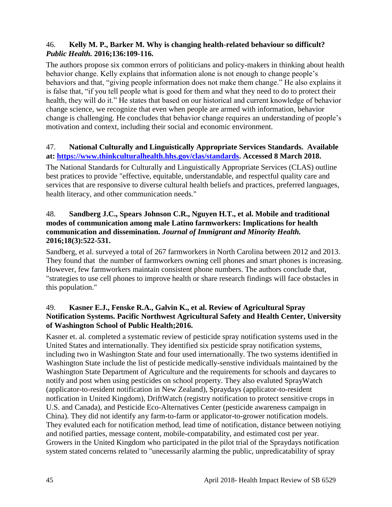#### 46. **Kelly M. P., Barker M. Why is changing health-related behaviour so difficult?**  *Public Health.* **2016;136:109-116.**

The authors propose six common errors of politicians and policy-makers in thinking about health behavior change. Kelly explains that information alone is not enough to change people's behaviors and that, "giving people information does not make them change." He also explains it is false that, "if you tell people what is good for them and what they need to do to protect their health, they will do it." He states that based on our historical and current knowledge of behavior change science, we recognize that even when people are armed with information, behavior change is challenging. He concludes that behavior change requires an understanding of people's motivation and context, including their social and economic environment.

#### 47. **National Culturally and Linguistically Appropriate Services Standards. Available at: [https://www.thinkculturalhealth.hhs.gov/clas/standards.](https://www.thinkculturalhealth.hhs.gov/clas/standards) Accessed 8 March 2018.**

The National Standards for Culturally and Linguistically Appropriate Services (CLAS) outline best pratices to provide "effective, equitable, understandable, and respectful quality care and services that are responsive to diverse cultural health beliefs and practices, preferred languages, health literacy, and other communication needs."

#### 48. **Sandberg J.C., Spears Johnson C.R., Nguyen H.T., et al. Mobile and traditional modes of communication among male Latino farmworkers: Implications for health communication and dissemination.** *Journal of Immigrant and Minority Health.*  **2016;18(3):522-531.**

Sandberg, et al. surveyed a total of 267 farmworkers in North Carolina between 2012 and 2013. They found that the number of farmworkers owning cell phones and smart phones is increasing. However, few farmworkers maintain consistent phone numbers. The authors conclude that, "strategies to use cell phones to improve health or share research findings will face obstacles in this population."

#### 49. **Kasner E.J., Fenske R.A., Galvin K., et al. Review of Agricultural Spray Notification Systems. Pacific Northwest Agricultural Safety and Health Center, University of Washington School of Public Health;2016.**

Kasner et. al. completed a systematic review of pesticide spray notification systems used in the United States and internationally. They identified six pesticide spray notification systems, including two in Washington State and four used internationally. The two systems identified in Washington State include the list of pesticide medically-senstive individuals maintained by the Washington State Department of Agriculture and the requirements for schools and daycares to notify and post when using pesticides on school property. They also evaluted SprayWatch (applicator-to-resident notification in New Zealand), Spraydays (applicator-to-resident notfication in United Kingdom), DriftWatch (registry notification to protect sensitive crops in U.S. and Canada), and Pesticide Eco-Alternatives Center (pesticide awareness campaign in China). They did not identify any farm-to-farm or applicator-to-grower notification models. They evaluted each for notification method, lead time of notification, distance between notiying and notified parties, message content, mobile-compatability, and estimated cost per year. Growers in the United Kingdom who participated in the pilot trial of the Spraydays notification system stated concerns related to "unecessarily alarming the public, unpredicatability of spray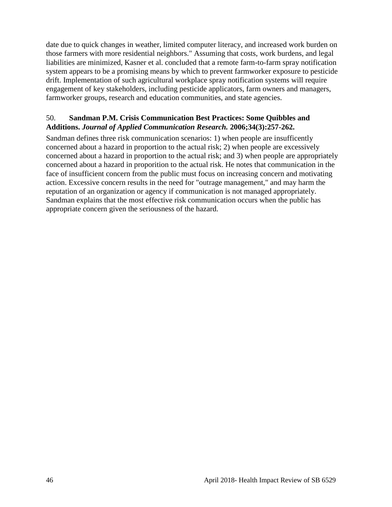date due to quick changes in weather, limited computer literacy, and increased work burden on those farmers with more residential neighbors." Assuming that costs, work burdens, and legal liabilities are minimized, Kasner et al. concluded that a remote farm-to-farm spray notification system appears to be a promising means by which to prevent farmworker exposure to pesticide drift. Implementation of such agricultural workplace spray notification systems will require engagement of key stakeholders, including pesticide applicators, farm owners and managers, farmworker groups, research and education communities, and state agencies.

#### 50. **Sandman P.M. Crisis Communication Best Practices: Some Quibbles and Additions.** *Journal of Applied Communication Research.* **2006;34(3):257-262.**

Sandman defines three risk communication scenarios: 1) when people are insufficently concerned about a hazard in proportion to the actual risk; 2) when people are excessively concerned about a hazard in proportion to the actual risk; and 3) when people are appropriately concerned about a hazard in proporition to the actual risk. He notes that communication in the face of insufficient concern from the public must focus on increasing concern and motivating action. Excessive concern results in the need for "outrage management," and may harm the reputation of an organization or agency if communication is not managed appropriately. Sandman explains that the most effective risk communication occurs when the public has appropriate concern given the seriousness of the hazard.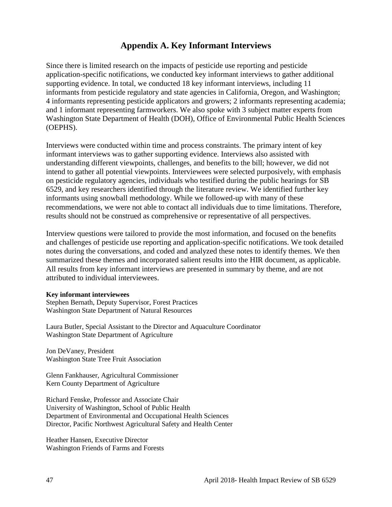## **Appendix A. Key Informant Interviews**

Since there is limited research on the impacts of pesticide use reporting and pesticide application-specific notifications, we conducted key informant interviews to gather additional supporting evidence. In total, we conducted 18 key informant interviews, including 11 informants from pesticide regulatory and state agencies in California, Oregon, and Washington; 4 informants representing pesticide applicators and growers; 2 informants representing academia; and 1 informant representing farmworkers. We also spoke with 3 subject matter experts from Washington State Department of Health (DOH), Office of Environmental Public Health Sciences (OEPHS).

Interviews were conducted within time and process constraints. The primary intent of key informant interviews was to gather supporting evidence. Interviews also assisted with understanding different viewpoints, challenges, and benefits to the bill; however, we did not intend to gather all potential viewpoints. Interviewees were selected purposively, with emphasis on pesticide regulatory agencies, individuals who testified during the public hearings for SB 6529, and key researchers identified through the literature review. We identified further key informants using snowball methodology. While we followed-up with many of these recommendations, we were not able to contact all individuals due to time limitations. Therefore, results should not be construed as comprehensive or representative of all perspectives.

Interview questions were tailored to provide the most information, and focused on the benefits and challenges of pesticide use reporting and application-specific notifications. We took detailed notes during the conversations, and coded and analyzed these notes to identify themes. We then summarized these themes and incorporated salient results into the HIR document, as applicable. All results from key informant interviews are presented in summary by theme, and are not attributed to individual interviewees.

#### **Key informant interviewees**

Stephen Bernath, Deputy Supervisor, Forest Practices Washington State Department of Natural Resources

Laura Butler, Special Assistant to the Director and Aquaculture Coordinator Washington State Department of Agriculture

Jon DeVaney, President Washington State Tree Fruit Association

Glenn Fankhauser, Agricultural Commissioner Kern County Department of Agriculture

Richard Fenske, Professor and Associate Chair University of Washington, School of Public Health Department of Environmental and Occupational Health Sciences Director, Pacific Northwest Agricultural Safety and Health Center

Heather Hansen, Executive Director Washington Friends of Farms and Forests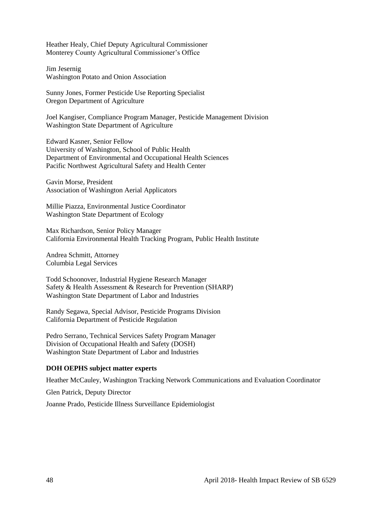Heather Healy, Chief Deputy Agricultural Commissioner Monterey County Agricultural Commissioner's Office

Jim Jesernig Washington Potato and Onion Association

Sunny Jones, Former Pesticide Use Reporting Specialist Oregon Department of Agriculture

Joel Kangiser, Compliance Program Manager, Pesticide Management Division Washington State Department of Agriculture

Edward Kasner, Senior Fellow University of Washington, School of Public Health Department of Environmental and Occupational Health Sciences Pacific Northwest Agricultural Safety and Health Center

Gavin Morse, President Association of Washington Aerial Applicators

Millie Piazza, Environmental Justice Coordinator Washington State Department of Ecology

Max Richardson, Senior Policy Manager California Environmental Health Tracking Program, Public Health Institute

Andrea Schmitt, Attorney Columbia Legal Services

Todd Schoonover, Industrial Hygiene Research Manager Safety & Health Assessment & Research for Prevention (SHARP) Washington State Department of Labor and Industries

Randy Segawa, Special Advisor, Pesticide Programs Division California Department of Pesticide Regulation

Pedro Serrano, Technical Services Safety Program Manager Division of Occupational Health and Safety (DOSH) Washington State Department of Labor and Industries

#### **DOH OEPHS subject matter experts**

Heather McCauley, Washington Tracking Network Communications and Evaluation Coordinator

Glen Patrick, Deputy Director

Joanne Prado, Pesticide Illness Surveillance Epidemiologist